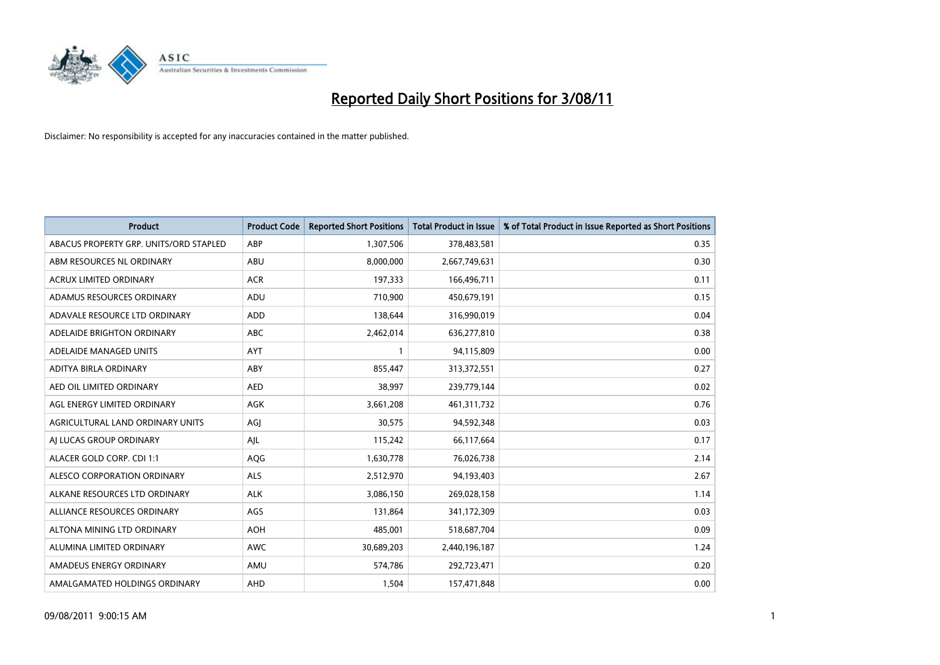

| <b>Product</b>                         | <b>Product Code</b> | <b>Reported Short Positions</b> | <b>Total Product in Issue</b> | % of Total Product in Issue Reported as Short Positions |
|----------------------------------------|---------------------|---------------------------------|-------------------------------|---------------------------------------------------------|
| ABACUS PROPERTY GRP. UNITS/ORD STAPLED | ABP                 | 1,307,506                       | 378,483,581                   | 0.35                                                    |
| ABM RESOURCES NL ORDINARY              | ABU                 | 8,000,000                       | 2,667,749,631                 | 0.30                                                    |
| <b>ACRUX LIMITED ORDINARY</b>          | <b>ACR</b>          | 197,333                         | 166,496,711                   | 0.11                                                    |
| ADAMUS RESOURCES ORDINARY              | ADU                 | 710,900                         | 450,679,191                   | 0.15                                                    |
| ADAVALE RESOURCE LTD ORDINARY          | <b>ADD</b>          | 138.644                         | 316,990,019                   | 0.04                                                    |
| ADELAIDE BRIGHTON ORDINARY             | <b>ABC</b>          | 2,462,014                       | 636,277,810                   | 0.38                                                    |
| ADELAIDE MANAGED UNITS                 | <b>AYT</b>          |                                 | 94,115,809                    | 0.00                                                    |
| ADITYA BIRLA ORDINARY                  | ABY                 | 855,447                         | 313,372,551                   | 0.27                                                    |
| AED OIL LIMITED ORDINARY               | <b>AED</b>          | 38,997                          | 239,779,144                   | 0.02                                                    |
| AGL ENERGY LIMITED ORDINARY            | <b>AGK</b>          | 3,661,208                       | 461,311,732                   | 0.76                                                    |
| AGRICULTURAL LAND ORDINARY UNITS       | AGJ                 | 30,575                          | 94,592,348                    | 0.03                                                    |
| AI LUCAS GROUP ORDINARY                | AJL                 | 115,242                         | 66,117,664                    | 0.17                                                    |
| ALACER GOLD CORP. CDI 1:1              | AQG                 | 1,630,778                       | 76,026,738                    | 2.14                                                    |
| ALESCO CORPORATION ORDINARY            | <b>ALS</b>          | 2,512,970                       | 94,193,403                    | 2.67                                                    |
| ALKANE RESOURCES LTD ORDINARY          | <b>ALK</b>          | 3,086,150                       | 269,028,158                   | 1.14                                                    |
| ALLIANCE RESOURCES ORDINARY            | AGS                 | 131,864                         | 341,172,309                   | 0.03                                                    |
| ALTONA MINING LTD ORDINARY             | <b>AOH</b>          | 485,001                         | 518,687,704                   | 0.09                                                    |
| ALUMINA LIMITED ORDINARY               | <b>AWC</b>          | 30,689,203                      | 2,440,196,187                 | 1.24                                                    |
| AMADEUS ENERGY ORDINARY                | AMU                 | 574,786                         | 292,723,471                   | 0.20                                                    |
| AMALGAMATED HOLDINGS ORDINARY          | AHD                 | 1,504                           | 157,471,848                   | 0.00                                                    |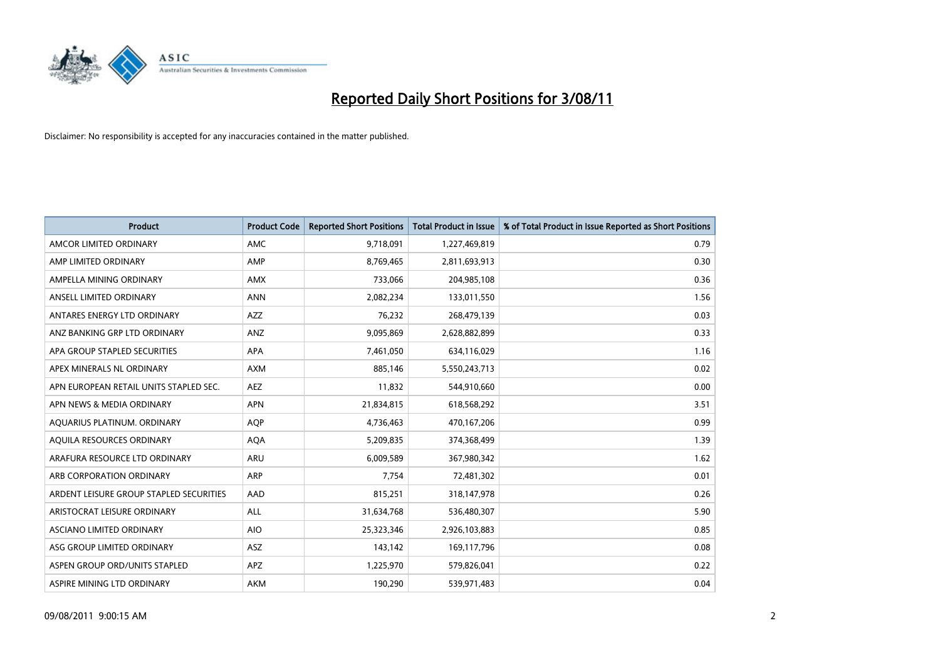

| <b>Product</b>                          | <b>Product Code</b> | <b>Reported Short Positions</b> | <b>Total Product in Issue</b> | % of Total Product in Issue Reported as Short Positions |
|-----------------------------------------|---------------------|---------------------------------|-------------------------------|---------------------------------------------------------|
| AMCOR LIMITED ORDINARY                  | <b>AMC</b>          | 9,718,091                       | 1,227,469,819                 | 0.79                                                    |
| AMP LIMITED ORDINARY                    | AMP                 | 8,769,465                       | 2,811,693,913                 | 0.30                                                    |
| AMPELLA MINING ORDINARY                 | <b>AMX</b>          | 733,066                         | 204,985,108                   | 0.36                                                    |
| ANSELL LIMITED ORDINARY                 | <b>ANN</b>          | 2,082,234                       | 133,011,550                   | 1.56                                                    |
| ANTARES ENERGY LTD ORDINARY             | <b>AZZ</b>          | 76,232                          | 268,479,139                   | 0.03                                                    |
| ANZ BANKING GRP LTD ORDINARY            | ANZ                 | 9,095,869                       | 2,628,882,899                 | 0.33                                                    |
| APA GROUP STAPLED SECURITIES            | <b>APA</b>          | 7,461,050                       | 634,116,029                   | 1.16                                                    |
| APEX MINERALS NL ORDINARY               | <b>AXM</b>          | 885,146                         | 5,550,243,713                 | 0.02                                                    |
| APN EUROPEAN RETAIL UNITS STAPLED SEC.  | <b>AEZ</b>          | 11,832                          | 544,910,660                   | 0.00                                                    |
| APN NEWS & MEDIA ORDINARY               | <b>APN</b>          | 21,834,815                      | 618,568,292                   | 3.51                                                    |
| AQUARIUS PLATINUM. ORDINARY             | <b>AQP</b>          | 4,736,463                       | 470,167,206                   | 0.99                                                    |
| AQUILA RESOURCES ORDINARY               | <b>AQA</b>          | 5,209,835                       | 374,368,499                   | 1.39                                                    |
| ARAFURA RESOURCE LTD ORDINARY           | <b>ARU</b>          | 6,009,589                       | 367,980,342                   | 1.62                                                    |
| ARB CORPORATION ORDINARY                | <b>ARP</b>          | 7.754                           | 72,481,302                    | 0.01                                                    |
| ARDENT LEISURE GROUP STAPLED SECURITIES | AAD                 | 815,251                         | 318,147,978                   | 0.26                                                    |
| ARISTOCRAT LEISURE ORDINARY             | <b>ALL</b>          | 31,634,768                      | 536,480,307                   | 5.90                                                    |
| ASCIANO LIMITED ORDINARY                | <b>AIO</b>          | 25,323,346                      | 2,926,103,883                 | 0.85                                                    |
| ASG GROUP LIMITED ORDINARY              | <b>ASZ</b>          | 143,142                         | 169,117,796                   | 0.08                                                    |
| ASPEN GROUP ORD/UNITS STAPLED           | <b>APZ</b>          | 1,225,970                       | 579,826,041                   | 0.22                                                    |
| ASPIRE MINING LTD ORDINARY              | <b>AKM</b>          | 190,290                         | 539,971,483                   | 0.04                                                    |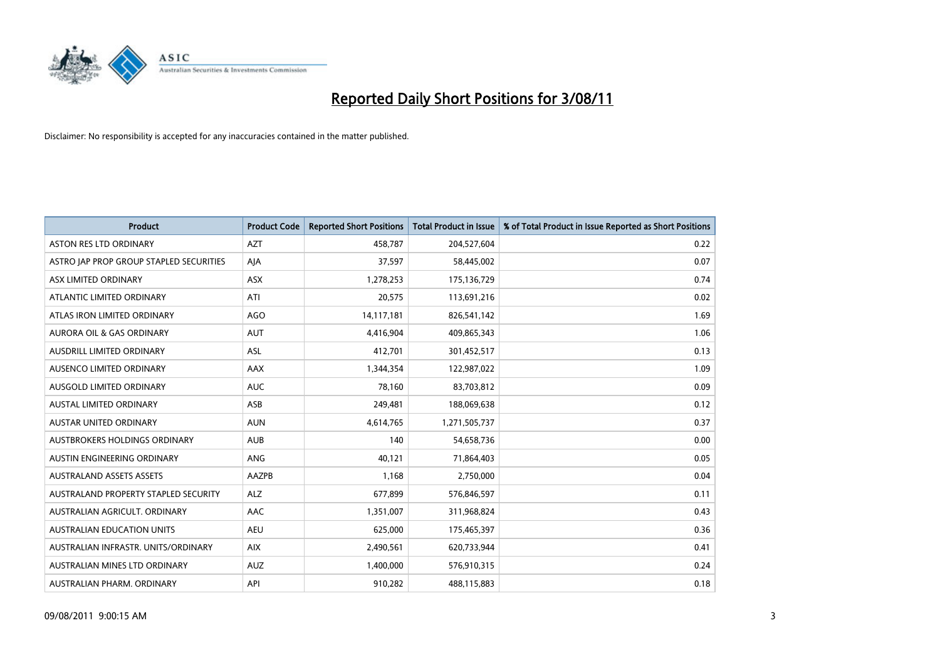

| <b>Product</b>                          | <b>Product Code</b> | <b>Reported Short Positions</b> | Total Product in Issue | % of Total Product in Issue Reported as Short Positions |
|-----------------------------------------|---------------------|---------------------------------|------------------------|---------------------------------------------------------|
| <b>ASTON RES LTD ORDINARY</b>           | <b>AZT</b>          | 458,787                         | 204,527,604            | 0.22                                                    |
| ASTRO JAP PROP GROUP STAPLED SECURITIES | AIA                 | 37,597                          | 58,445,002             | 0.07                                                    |
| ASX LIMITED ORDINARY                    | <b>ASX</b>          | 1,278,253                       | 175,136,729            | 0.74                                                    |
| ATLANTIC LIMITED ORDINARY               | ATI                 | 20,575                          | 113,691,216            | 0.02                                                    |
| ATLAS IRON LIMITED ORDINARY             | <b>AGO</b>          | 14,117,181                      | 826,541,142            | 1.69                                                    |
| <b>AURORA OIL &amp; GAS ORDINARY</b>    | <b>AUT</b>          | 4,416,904                       | 409,865,343            | 1.06                                                    |
| AUSDRILL LIMITED ORDINARY               | ASL                 | 412,701                         | 301,452,517            | 0.13                                                    |
| AUSENCO LIMITED ORDINARY                | <b>AAX</b>          | 1,344,354                       | 122,987,022            | 1.09                                                    |
| AUSGOLD LIMITED ORDINARY                | <b>AUC</b>          | 78,160                          | 83,703,812             | 0.09                                                    |
| <b>AUSTAL LIMITED ORDINARY</b>          | ASB                 | 249,481                         | 188,069,638            | 0.12                                                    |
| AUSTAR UNITED ORDINARY                  | <b>AUN</b>          | 4,614,765                       | 1,271,505,737          | 0.37                                                    |
| AUSTBROKERS HOLDINGS ORDINARY           | <b>AUB</b>          | 140                             | 54,658,736             | 0.00                                                    |
| AUSTIN ENGINEERING ORDINARY             | ANG                 | 40,121                          | 71,864,403             | 0.05                                                    |
| <b>AUSTRALAND ASSETS ASSETS</b>         | AAZPB               | 1,168                           | 2,750,000              | 0.04                                                    |
| AUSTRALAND PROPERTY STAPLED SECURITY    | <b>ALZ</b>          | 677,899                         | 576,846,597            | 0.11                                                    |
| AUSTRALIAN AGRICULT. ORDINARY           | AAC                 | 1,351,007                       | 311,968,824            | 0.43                                                    |
| AUSTRALIAN EDUCATION UNITS              | <b>AEU</b>          | 625,000                         | 175,465,397            | 0.36                                                    |
| AUSTRALIAN INFRASTR. UNITS/ORDINARY     | <b>AIX</b>          | 2,490,561                       | 620,733,944            | 0.41                                                    |
| AUSTRALIAN MINES LTD ORDINARY           | <b>AUZ</b>          | 1,400,000                       | 576,910,315            | 0.24                                                    |
| AUSTRALIAN PHARM. ORDINARY              | API                 | 910,282                         | 488,115,883            | 0.18                                                    |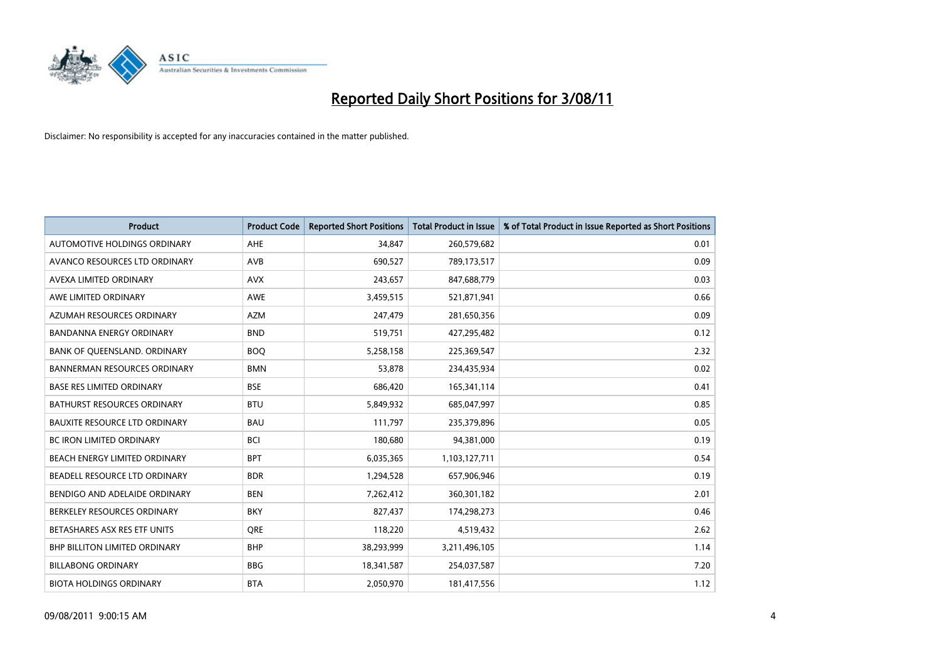

| <b>Product</b>                       | <b>Product Code</b> | <b>Reported Short Positions</b> | <b>Total Product in Issue</b> | % of Total Product in Issue Reported as Short Positions |
|--------------------------------------|---------------------|---------------------------------|-------------------------------|---------------------------------------------------------|
| <b>AUTOMOTIVE HOLDINGS ORDINARY</b>  | <b>AHE</b>          | 34.847                          | 260,579,682                   | 0.01                                                    |
| AVANCO RESOURCES LTD ORDINARY        | <b>AVB</b>          | 690,527                         | 789,173,517                   | 0.09                                                    |
| AVEXA LIMITED ORDINARY               | <b>AVX</b>          | 243,657                         | 847,688,779                   | 0.03                                                    |
| AWE LIMITED ORDINARY                 | <b>AWE</b>          | 3,459,515                       | 521,871,941                   | 0.66                                                    |
| AZUMAH RESOURCES ORDINARY            | <b>AZM</b>          | 247,479                         | 281,650,356                   | 0.09                                                    |
| <b>BANDANNA ENERGY ORDINARY</b>      | <b>BND</b>          | 519,751                         | 427,295,482                   | 0.12                                                    |
| BANK OF QUEENSLAND. ORDINARY         | <b>BOQ</b>          | 5,258,158                       | 225,369,547                   | 2.32                                                    |
| <b>BANNERMAN RESOURCES ORDINARY</b>  | <b>BMN</b>          | 53.878                          | 234,435,934                   | 0.02                                                    |
| <b>BASE RES LIMITED ORDINARY</b>     | <b>BSE</b>          | 686,420                         | 165,341,114                   | 0.41                                                    |
| <b>BATHURST RESOURCES ORDINARY</b>   | <b>BTU</b>          | 5,849,932                       | 685,047,997                   | 0.85                                                    |
| <b>BAUXITE RESOURCE LTD ORDINARY</b> | <b>BAU</b>          | 111,797                         | 235,379,896                   | 0.05                                                    |
| <b>BC IRON LIMITED ORDINARY</b>      | <b>BCI</b>          | 180,680                         | 94,381,000                    | 0.19                                                    |
| BEACH ENERGY LIMITED ORDINARY        | <b>BPT</b>          | 6,035,365                       | 1,103,127,711                 | 0.54                                                    |
| BEADELL RESOURCE LTD ORDINARY        | <b>BDR</b>          | 1,294,528                       | 657,906,946                   | 0.19                                                    |
| BENDIGO AND ADELAIDE ORDINARY        | <b>BEN</b>          | 7,262,412                       | 360,301,182                   | 2.01                                                    |
| BERKELEY RESOURCES ORDINARY          | <b>BKY</b>          | 827,437                         | 174,298,273                   | 0.46                                                    |
| BETASHARES ASX RES ETF UNITS         | <b>ORE</b>          | 118,220                         | 4,519,432                     | 2.62                                                    |
| <b>BHP BILLITON LIMITED ORDINARY</b> | <b>BHP</b>          | 38,293,999                      | 3,211,496,105                 | 1.14                                                    |
| <b>BILLABONG ORDINARY</b>            | <b>BBG</b>          | 18,341,587                      | 254,037,587                   | 7.20                                                    |
| <b>BIOTA HOLDINGS ORDINARY</b>       | <b>BTA</b>          | 2,050,970                       | 181,417,556                   | 1.12                                                    |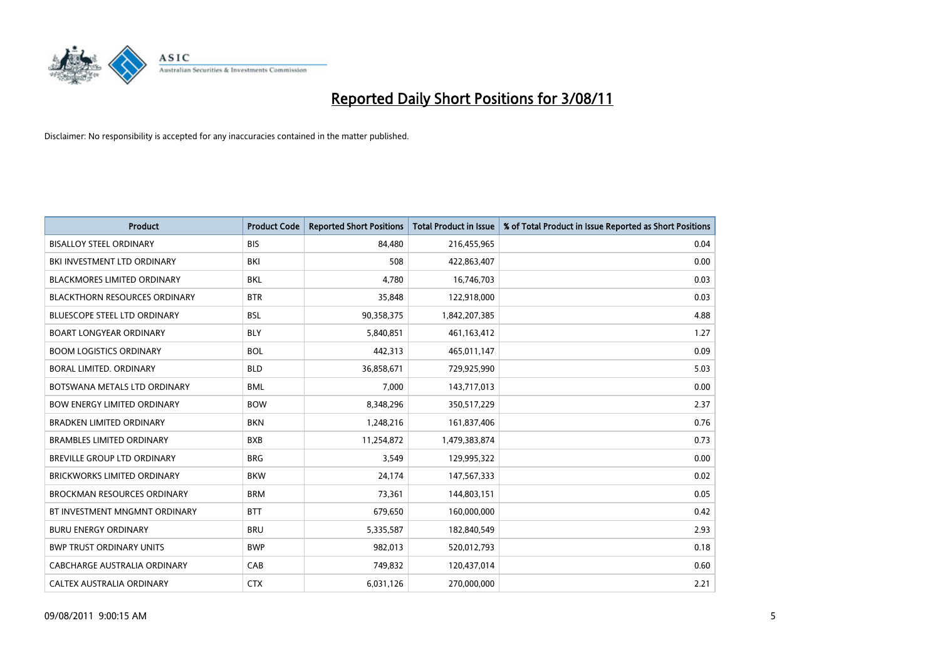

| <b>Product</b>                       | <b>Product Code</b> | <b>Reported Short Positions</b> | <b>Total Product in Issue</b> | % of Total Product in Issue Reported as Short Positions |
|--------------------------------------|---------------------|---------------------------------|-------------------------------|---------------------------------------------------------|
| <b>BISALLOY STEEL ORDINARY</b>       | <b>BIS</b>          | 84.480                          | 216,455,965                   | 0.04                                                    |
| BKI INVESTMENT LTD ORDINARY          | BKI                 | 508                             | 422,863,407                   | 0.00                                                    |
| <b>BLACKMORES LIMITED ORDINARY</b>   | <b>BKL</b>          | 4,780                           | 16,746,703                    | 0.03                                                    |
| <b>BLACKTHORN RESOURCES ORDINARY</b> | <b>BTR</b>          | 35,848                          | 122,918,000                   | 0.03                                                    |
| <b>BLUESCOPE STEEL LTD ORDINARY</b>  | <b>BSL</b>          | 90,358,375                      | 1,842,207,385                 | 4.88                                                    |
| <b>BOART LONGYEAR ORDINARY</b>       | <b>BLY</b>          | 5,840,851                       | 461,163,412                   | 1.27                                                    |
| <b>BOOM LOGISTICS ORDINARY</b>       | <b>BOL</b>          | 442,313                         | 465,011,147                   | 0.09                                                    |
| BORAL LIMITED, ORDINARY              | <b>BLD</b>          | 36,858,671                      | 729,925,990                   | 5.03                                                    |
| BOTSWANA METALS LTD ORDINARY         | <b>BML</b>          | 7,000                           | 143,717,013                   | 0.00                                                    |
| <b>BOW ENERGY LIMITED ORDINARY</b>   | <b>BOW</b>          | 8,348,296                       | 350,517,229                   | 2.37                                                    |
| <b>BRADKEN LIMITED ORDINARY</b>      | <b>BKN</b>          | 1,248,216                       | 161,837,406                   | 0.76                                                    |
| <b>BRAMBLES LIMITED ORDINARY</b>     | <b>BXB</b>          | 11,254,872                      | 1,479,383,874                 | 0.73                                                    |
| <b>BREVILLE GROUP LTD ORDINARY</b>   | <b>BRG</b>          | 3,549                           | 129,995,322                   | 0.00                                                    |
| <b>BRICKWORKS LIMITED ORDINARY</b>   | <b>BKW</b>          | 24,174                          | 147,567,333                   | 0.02                                                    |
| <b>BROCKMAN RESOURCES ORDINARY</b>   | <b>BRM</b>          | 73,361                          | 144,803,151                   | 0.05                                                    |
| BT INVESTMENT MNGMNT ORDINARY        | <b>BTT</b>          | 679,650                         | 160,000,000                   | 0.42                                                    |
| <b>BURU ENERGY ORDINARY</b>          | <b>BRU</b>          | 5,335,587                       | 182,840,549                   | 2.93                                                    |
| <b>BWP TRUST ORDINARY UNITS</b>      | <b>BWP</b>          | 982,013                         | 520,012,793                   | 0.18                                                    |
| CABCHARGE AUSTRALIA ORDINARY         | CAB                 | 749,832                         | 120,437,014                   | 0.60                                                    |
| CALTEX AUSTRALIA ORDINARY            | <b>CTX</b>          | 6,031,126                       | 270,000,000                   | 2.21                                                    |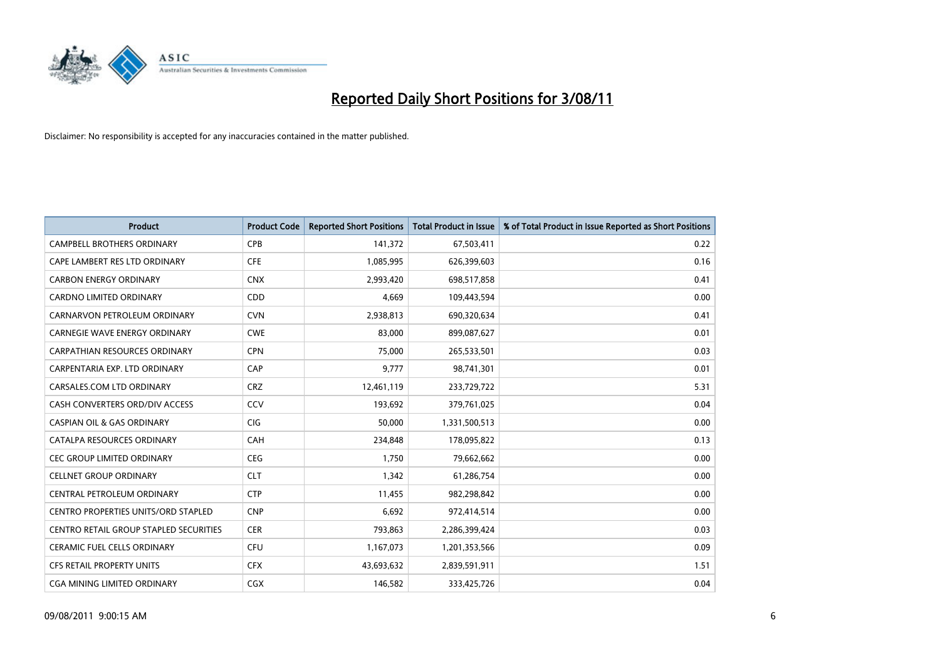

| <b>Product</b>                                | <b>Product Code</b> | <b>Reported Short Positions</b> | <b>Total Product in Issue</b> | % of Total Product in Issue Reported as Short Positions |
|-----------------------------------------------|---------------------|---------------------------------|-------------------------------|---------------------------------------------------------|
| <b>CAMPBELL BROTHERS ORDINARY</b>             | <b>CPB</b>          | 141,372                         | 67,503,411                    | 0.22                                                    |
| CAPE LAMBERT RES LTD ORDINARY                 | <b>CFE</b>          | 1,085,995                       | 626,399,603                   | 0.16                                                    |
| <b>CARBON ENERGY ORDINARY</b>                 | <b>CNX</b>          | 2,993,420                       | 698,517,858                   | 0.41                                                    |
| CARDNO LIMITED ORDINARY                       | <b>CDD</b>          | 4,669                           | 109,443,594                   | 0.00                                                    |
| CARNARVON PETROLEUM ORDINARY                  | <b>CVN</b>          | 2,938,813                       | 690,320,634                   | 0.41                                                    |
| <b>CARNEGIE WAVE ENERGY ORDINARY</b>          | <b>CWE</b>          | 83,000                          | 899,087,627                   | 0.01                                                    |
| <b>CARPATHIAN RESOURCES ORDINARY</b>          | <b>CPN</b>          | 75.000                          | 265,533,501                   | 0.03                                                    |
| CARPENTARIA EXP. LTD ORDINARY                 | CAP                 | 9,777                           | 98,741,301                    | 0.01                                                    |
| CARSALES.COM LTD ORDINARY                     | <b>CRZ</b>          | 12,461,119                      | 233,729,722                   | 5.31                                                    |
| CASH CONVERTERS ORD/DIV ACCESS                | CCV                 | 193,692                         | 379,761,025                   | 0.04                                                    |
| <b>CASPIAN OIL &amp; GAS ORDINARY</b>         | <b>CIG</b>          | 50,000                          | 1,331,500,513                 | 0.00                                                    |
| CATALPA RESOURCES ORDINARY                    | CAH                 | 234,848                         | 178,095,822                   | 0.13                                                    |
| <b>CEC GROUP LIMITED ORDINARY</b>             | <b>CEG</b>          | 1,750                           | 79,662,662                    | 0.00                                                    |
| <b>CELLNET GROUP ORDINARY</b>                 | <b>CLT</b>          | 1,342                           | 61,286,754                    | 0.00                                                    |
| CENTRAL PETROLEUM ORDINARY                    | <b>CTP</b>          | 11,455                          | 982,298,842                   | 0.00                                                    |
| CENTRO PROPERTIES UNITS/ORD STAPLED           | <b>CNP</b>          | 6,692                           | 972,414,514                   | 0.00                                                    |
| <b>CENTRO RETAIL GROUP STAPLED SECURITIES</b> | <b>CER</b>          | 793,863                         | 2,286,399,424                 | 0.03                                                    |
| CERAMIC FUEL CELLS ORDINARY                   | <b>CFU</b>          | 1,167,073                       | 1,201,353,566                 | 0.09                                                    |
| <b>CFS RETAIL PROPERTY UNITS</b>              | <b>CFX</b>          | 43,693,632                      | 2,839,591,911                 | 1.51                                                    |
| CGA MINING LIMITED ORDINARY                   | <b>CGX</b>          | 146.582                         | 333,425,726                   | 0.04                                                    |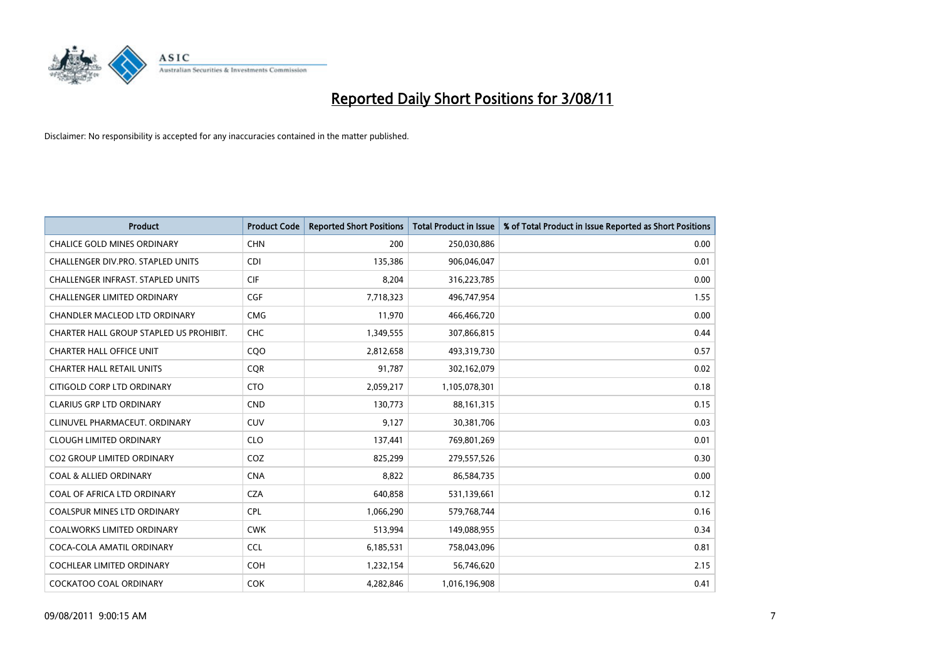

| <b>Product</b>                           | <b>Product Code</b> | <b>Reported Short Positions</b> | <b>Total Product in Issue</b> | % of Total Product in Issue Reported as Short Positions |
|------------------------------------------|---------------------|---------------------------------|-------------------------------|---------------------------------------------------------|
| <b>CHALICE GOLD MINES ORDINARY</b>       | <b>CHN</b>          | 200                             | 250,030,886                   | 0.00                                                    |
| CHALLENGER DIV.PRO. STAPLED UNITS        | <b>CDI</b>          | 135,386                         | 906,046,047                   | 0.01                                                    |
| <b>CHALLENGER INFRAST, STAPLED UNITS</b> | <b>CIF</b>          | 8,204                           | 316,223,785                   | 0.00                                                    |
| CHALLENGER LIMITED ORDINARY              | <b>CGF</b>          | 7,718,323                       | 496,747,954                   | 1.55                                                    |
| <b>CHANDLER MACLEOD LTD ORDINARY</b>     | <b>CMG</b>          | 11,970                          | 466,466,720                   | 0.00                                                    |
| CHARTER HALL GROUP STAPLED US PROHIBIT.  | CHC                 | 1,349,555                       | 307,866,815                   | 0.44                                                    |
| <b>CHARTER HALL OFFICE UNIT</b>          | COO                 | 2,812,658                       | 493,319,730                   | 0.57                                                    |
| <b>CHARTER HALL RETAIL UNITS</b>         | <b>CQR</b>          | 91,787                          | 302,162,079                   | 0.02                                                    |
| CITIGOLD CORP LTD ORDINARY               | <b>CTO</b>          | 2,059,217                       | 1,105,078,301                 | 0.18                                                    |
| <b>CLARIUS GRP LTD ORDINARY</b>          | <b>CND</b>          | 130,773                         | 88, 161, 315                  | 0.15                                                    |
| CLINUVEL PHARMACEUT. ORDINARY            | <b>CUV</b>          | 9,127                           | 30,381,706                    | 0.03                                                    |
| <b>CLOUGH LIMITED ORDINARY</b>           | <b>CLO</b>          | 137,441                         | 769,801,269                   | 0.01                                                    |
| <b>CO2 GROUP LIMITED ORDINARY</b>        | COZ                 | 825,299                         | 279,557,526                   | 0.30                                                    |
| <b>COAL &amp; ALLIED ORDINARY</b>        | <b>CNA</b>          | 8,822                           | 86,584,735                    | 0.00                                                    |
| COAL OF AFRICA LTD ORDINARY              | <b>CZA</b>          | 640,858                         | 531,139,661                   | 0.12                                                    |
| COALSPUR MINES LTD ORDINARY              | <b>CPL</b>          | 1,066,290                       | 579,768,744                   | 0.16                                                    |
| <b>COALWORKS LIMITED ORDINARY</b>        | <b>CWK</b>          | 513,994                         | 149,088,955                   | 0.34                                                    |
| COCA-COLA AMATIL ORDINARY                | <b>CCL</b>          | 6,185,531                       | 758,043,096                   | 0.81                                                    |
| <b>COCHLEAR LIMITED ORDINARY</b>         | <b>COH</b>          | 1,232,154                       | 56,746,620                    | 2.15                                                    |
| <b>COCKATOO COAL ORDINARY</b>            | <b>COK</b>          | 4.282.846                       | 1,016,196,908                 | 0.41                                                    |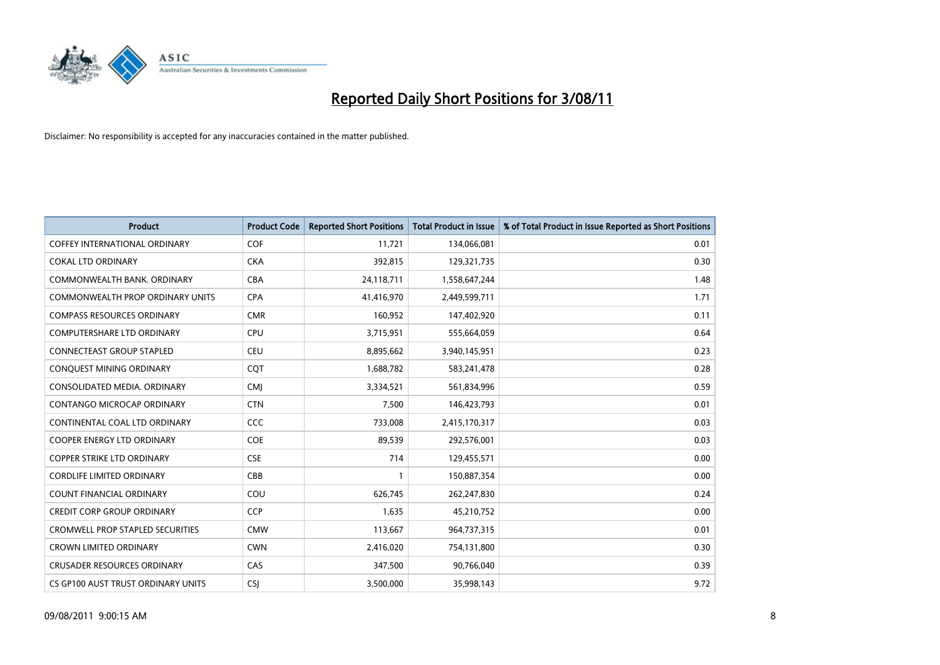

| <b>Product</b>                          | <b>Product Code</b> | <b>Reported Short Positions</b> | <b>Total Product in Issue</b> | % of Total Product in Issue Reported as Short Positions |
|-----------------------------------------|---------------------|---------------------------------|-------------------------------|---------------------------------------------------------|
| <b>COFFEY INTERNATIONAL ORDINARY</b>    | COF                 | 11,721                          | 134,066,081                   | 0.01                                                    |
| <b>COKAL LTD ORDINARY</b>               | <b>CKA</b>          | 392,815                         | 129,321,735                   | 0.30                                                    |
| COMMONWEALTH BANK, ORDINARY             | <b>CBA</b>          | 24,118,711                      | 1,558,647,244                 | 1.48                                                    |
| COMMONWEALTH PROP ORDINARY UNITS        | <b>CPA</b>          | 41,416,970                      | 2,449,599,711                 | 1.71                                                    |
| <b>COMPASS RESOURCES ORDINARY</b>       | <b>CMR</b>          | 160,952                         | 147,402,920                   | 0.11                                                    |
| <b>COMPUTERSHARE LTD ORDINARY</b>       | <b>CPU</b>          | 3,715,951                       | 555,664,059                   | 0.64                                                    |
| <b>CONNECTEAST GROUP STAPLED</b>        | <b>CEU</b>          | 8,895,662                       | 3,940,145,951                 | 0.23                                                    |
| CONQUEST MINING ORDINARY                | CQT                 | 1,688,782                       | 583,241,478                   | 0.28                                                    |
| CONSOLIDATED MEDIA. ORDINARY            | <b>CMI</b>          | 3,334,521                       | 561,834,996                   | 0.59                                                    |
| CONTANGO MICROCAP ORDINARY              | <b>CTN</b>          | 7,500                           | 146,423,793                   | 0.01                                                    |
| CONTINENTAL COAL LTD ORDINARY           | CCC                 | 733,008                         | 2,415,170,317                 | 0.03                                                    |
| <b>COOPER ENERGY LTD ORDINARY</b>       | <b>COE</b>          | 89,539                          | 292,576,001                   | 0.03                                                    |
| <b>COPPER STRIKE LTD ORDINARY</b>       | <b>CSE</b>          | 714                             | 129,455,571                   | 0.00                                                    |
| <b>CORDLIFE LIMITED ORDINARY</b>        | CBB                 |                                 | 150,887,354                   | 0.00                                                    |
| <b>COUNT FINANCIAL ORDINARY</b>         | COU                 | 626,745                         | 262,247,830                   | 0.24                                                    |
| <b>CREDIT CORP GROUP ORDINARY</b>       | <b>CCP</b>          | 1,635                           | 45,210,752                    | 0.00                                                    |
| <b>CROMWELL PROP STAPLED SECURITIES</b> | <b>CMW</b>          | 113,667                         | 964,737,315                   | 0.01                                                    |
| CROWN LIMITED ORDINARY                  | <b>CWN</b>          | 2,416,020                       | 754,131,800                   | 0.30                                                    |
| <b>CRUSADER RESOURCES ORDINARY</b>      | CAS                 | 347,500                         | 90,766,040                    | 0.39                                                    |
| CS GP100 AUST TRUST ORDINARY UNITS      | <b>CSI</b>          | 3,500,000                       | 35,998,143                    | 9.72                                                    |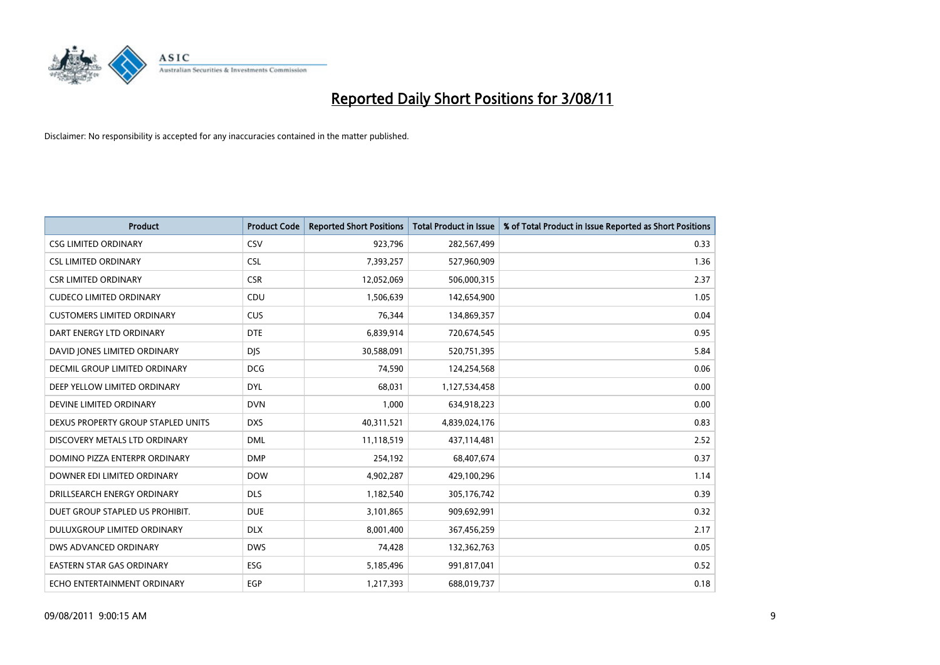

| <b>Product</b>                     | <b>Product Code</b> | <b>Reported Short Positions</b> | <b>Total Product in Issue</b> | % of Total Product in Issue Reported as Short Positions |
|------------------------------------|---------------------|---------------------------------|-------------------------------|---------------------------------------------------------|
| <b>CSG LIMITED ORDINARY</b>        | CSV                 | 923,796                         | 282,567,499                   | 0.33                                                    |
| <b>CSL LIMITED ORDINARY</b>        | <b>CSL</b>          | 7,393,257                       | 527,960,909                   | 1.36                                                    |
| <b>CSR LIMITED ORDINARY</b>        | <b>CSR</b>          | 12,052,069                      | 506,000,315                   | 2.37                                                    |
| <b>CUDECO LIMITED ORDINARY</b>     | CDU                 | 1,506,639                       | 142,654,900                   | 1.05                                                    |
| <b>CUSTOMERS LIMITED ORDINARY</b>  | CUS                 | 76,344                          | 134,869,357                   | 0.04                                                    |
| DART ENERGY LTD ORDINARY           | <b>DTE</b>          | 6,839,914                       | 720,674,545                   | 0.95                                                    |
| DAVID JONES LIMITED ORDINARY       | <b>DIS</b>          | 30,588,091                      | 520,751,395                   | 5.84                                                    |
| DECMIL GROUP LIMITED ORDINARY      | <b>DCG</b>          | 74,590                          | 124,254,568                   | 0.06                                                    |
| DEEP YELLOW LIMITED ORDINARY       | <b>DYL</b>          | 68,031                          | 1,127,534,458                 | 0.00                                                    |
| DEVINE LIMITED ORDINARY            | <b>DVN</b>          | 1,000                           | 634,918,223                   | 0.00                                                    |
| DEXUS PROPERTY GROUP STAPLED UNITS | <b>DXS</b>          | 40,311,521                      | 4,839,024,176                 | 0.83                                                    |
| DISCOVERY METALS LTD ORDINARY      | <b>DML</b>          | 11,118,519                      | 437,114,481                   | 2.52                                                    |
| DOMINO PIZZA ENTERPR ORDINARY      | <b>DMP</b>          | 254,192                         | 68,407,674                    | 0.37                                                    |
| DOWNER EDI LIMITED ORDINARY        | <b>DOW</b>          | 4,902,287                       | 429,100,296                   | 1.14                                                    |
| DRILLSEARCH ENERGY ORDINARY        | <b>DLS</b>          | 1,182,540                       | 305,176,742                   | 0.39                                                    |
| DUET GROUP STAPLED US PROHIBIT.    | <b>DUE</b>          | 3,101,865                       | 909,692,991                   | 0.32                                                    |
| DULUXGROUP LIMITED ORDINARY        | <b>DLX</b>          | 8,001,400                       | 367,456,259                   | 2.17                                                    |
| DWS ADVANCED ORDINARY              | <b>DWS</b>          | 74,428                          | 132,362,763                   | 0.05                                                    |
| <b>EASTERN STAR GAS ORDINARY</b>   | <b>ESG</b>          | 5,185,496                       | 991,817,041                   | 0.52                                                    |
| ECHO ENTERTAINMENT ORDINARY        | EGP                 | 1,217,393                       | 688,019,737                   | 0.18                                                    |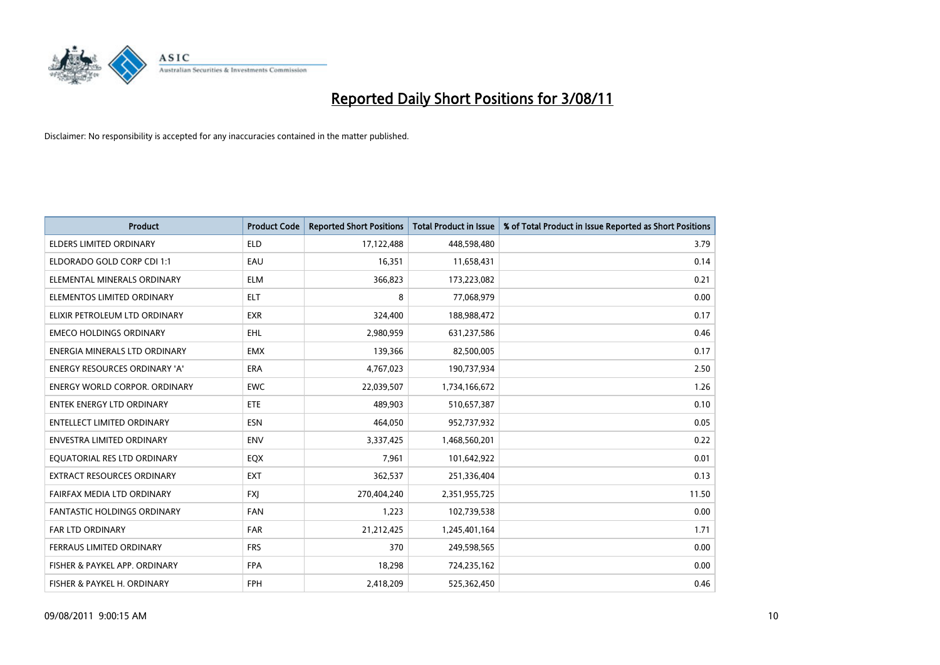

| <b>Product</b>                       | <b>Product Code</b> | <b>Reported Short Positions</b> | <b>Total Product in Issue</b> | % of Total Product in Issue Reported as Short Positions |
|--------------------------------------|---------------------|---------------------------------|-------------------------------|---------------------------------------------------------|
| <b>ELDERS LIMITED ORDINARY</b>       | <b>ELD</b>          | 17,122,488                      | 448,598,480                   | 3.79                                                    |
| ELDORADO GOLD CORP CDI 1:1           | EAU                 | 16,351                          | 11,658,431                    | 0.14                                                    |
| ELEMENTAL MINERALS ORDINARY          | <b>ELM</b>          | 366,823                         | 173,223,082                   | 0.21                                                    |
| ELEMENTOS LIMITED ORDINARY           | <b>ELT</b>          | 8                               | 77,068,979                    | 0.00                                                    |
| ELIXIR PETROLEUM LTD ORDINARY        | <b>EXR</b>          | 324,400                         | 188,988,472                   | 0.17                                                    |
| <b>EMECO HOLDINGS ORDINARY</b>       | <b>EHL</b>          | 2,980,959                       | 631,237,586                   | 0.46                                                    |
| ENERGIA MINERALS LTD ORDINARY        | <b>EMX</b>          | 139,366                         | 82,500,005                    | 0.17                                                    |
| ENERGY RESOURCES ORDINARY 'A'        | ERA                 | 4,767,023                       | 190,737,934                   | 2.50                                                    |
| <b>ENERGY WORLD CORPOR, ORDINARY</b> | <b>EWC</b>          | 22,039,507                      | 1,734,166,672                 | 1.26                                                    |
| <b>ENTEK ENERGY LTD ORDINARY</b>     | ETE                 | 489,903                         | 510,657,387                   | 0.10                                                    |
| <b>ENTELLECT LIMITED ORDINARY</b>    | <b>ESN</b>          | 464,050                         | 952,737,932                   | 0.05                                                    |
| ENVESTRA LIMITED ORDINARY            | <b>ENV</b>          | 3,337,425                       | 1,468,560,201                 | 0.22                                                    |
| EQUATORIAL RES LTD ORDINARY          | EQX                 | 7,961                           | 101,642,922                   | 0.01                                                    |
| EXTRACT RESOURCES ORDINARY           | <b>EXT</b>          | 362,537                         | 251,336,404                   | 0.13                                                    |
| FAIRFAX MEDIA LTD ORDINARY           | <b>FXJ</b>          | 270,404,240                     | 2,351,955,725                 | 11.50                                                   |
| <b>FANTASTIC HOLDINGS ORDINARY</b>   | <b>FAN</b>          | 1,223                           | 102,739,538                   | 0.00                                                    |
| FAR LTD ORDINARY                     | FAR                 | 21,212,425                      | 1,245,401,164                 | 1.71                                                    |
| FERRAUS LIMITED ORDINARY             | <b>FRS</b>          | 370                             | 249,598,565                   | 0.00                                                    |
| FISHER & PAYKEL APP. ORDINARY        | <b>FPA</b>          | 18,298                          | 724,235,162                   | 0.00                                                    |
| FISHER & PAYKEL H. ORDINARY          | <b>FPH</b>          | 2,418,209                       | 525,362,450                   | 0.46                                                    |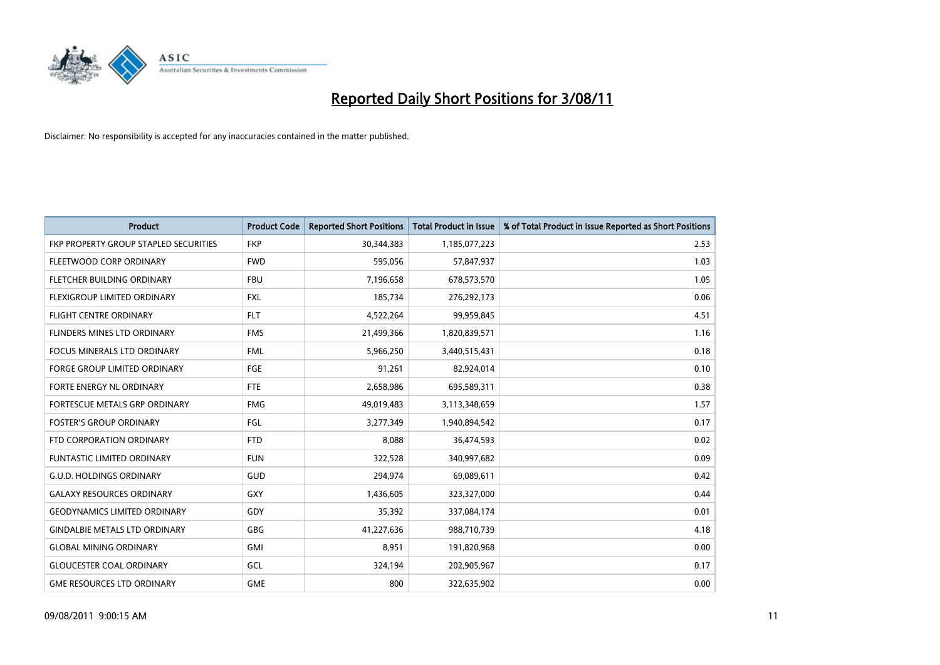

| <b>Product</b>                        | <b>Product Code</b> | <b>Reported Short Positions</b> | <b>Total Product in Issue</b> | % of Total Product in Issue Reported as Short Positions |
|---------------------------------------|---------------------|---------------------------------|-------------------------------|---------------------------------------------------------|
| FKP PROPERTY GROUP STAPLED SECURITIES | <b>FKP</b>          | 30,344,383                      | 1,185,077,223                 | 2.53                                                    |
| FLEETWOOD CORP ORDINARY               | <b>FWD</b>          | 595,056                         | 57,847,937                    | 1.03                                                    |
| FLETCHER BUILDING ORDINARY            | <b>FBU</b>          | 7,196,658                       | 678,573,570                   | 1.05                                                    |
| FLEXIGROUP LIMITED ORDINARY           | <b>FXL</b>          | 185,734                         | 276,292,173                   | 0.06                                                    |
| <b>FLIGHT CENTRE ORDINARY</b>         | <b>FLT</b>          | 4,522,264                       | 99,959,845                    | 4.51                                                    |
| FLINDERS MINES LTD ORDINARY           | <b>FMS</b>          | 21,499,366                      | 1,820,839,571                 | 1.16                                                    |
| <b>FOCUS MINERALS LTD ORDINARY</b>    | <b>FML</b>          | 5,966,250                       | 3,440,515,431                 | 0.18                                                    |
| FORGE GROUP LIMITED ORDINARY          | <b>FGE</b>          | 91,261                          | 82,924,014                    | 0.10                                                    |
| FORTE ENERGY NL ORDINARY              | <b>FTE</b>          | 2,658,986                       | 695,589,311                   | 0.38                                                    |
| FORTESCUE METALS GRP ORDINARY         | <b>FMG</b>          | 49,019,483                      | 3,113,348,659                 | 1.57                                                    |
| <b>FOSTER'S GROUP ORDINARY</b>        | FGL                 | 3,277,349                       | 1,940,894,542                 | 0.17                                                    |
| FTD CORPORATION ORDINARY              | <b>FTD</b>          | 8,088                           | 36,474,593                    | 0.02                                                    |
| <b>FUNTASTIC LIMITED ORDINARY</b>     | <b>FUN</b>          | 322,528                         | 340,997,682                   | 0.09                                                    |
| <b>G.U.D. HOLDINGS ORDINARY</b>       | GUD                 | 294,974                         | 69,089,611                    | 0.42                                                    |
| <b>GALAXY RESOURCES ORDINARY</b>      | GXY                 | 1,436,605                       | 323,327,000                   | 0.44                                                    |
| <b>GEODYNAMICS LIMITED ORDINARY</b>   | GDY                 | 35,392                          | 337,084,174                   | 0.01                                                    |
| <b>GINDALBIE METALS LTD ORDINARY</b>  | <b>GBG</b>          | 41,227,636                      | 988,710,739                   | 4.18                                                    |
| <b>GLOBAL MINING ORDINARY</b>         | <b>GMI</b>          | 8,951                           | 191,820,968                   | 0.00                                                    |
| <b>GLOUCESTER COAL ORDINARY</b>       | GCL                 | 324,194                         | 202,905,967                   | 0.17                                                    |
| <b>GME RESOURCES LTD ORDINARY</b>     | <b>GME</b>          | 800                             | 322,635,902                   | 0.00                                                    |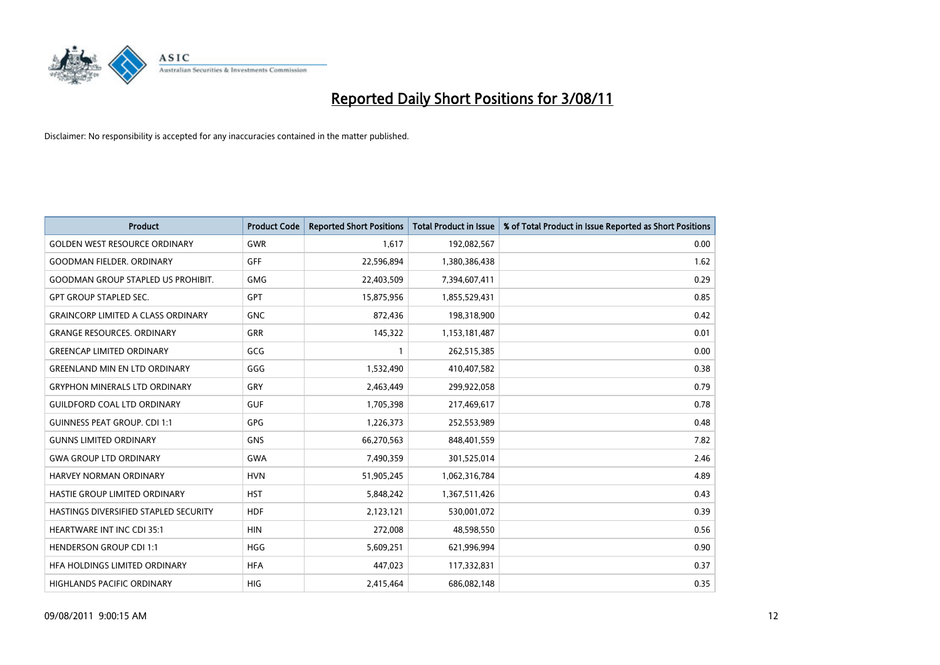

| <b>Product</b>                            | <b>Product Code</b> | <b>Reported Short Positions</b> | <b>Total Product in Issue</b> | % of Total Product in Issue Reported as Short Positions |
|-------------------------------------------|---------------------|---------------------------------|-------------------------------|---------------------------------------------------------|
| <b>GOLDEN WEST RESOURCE ORDINARY</b>      | <b>GWR</b>          | 1,617                           | 192,082,567                   | 0.00                                                    |
| <b>GOODMAN FIELDER, ORDINARY</b>          | <b>GFF</b>          | 22,596,894                      | 1,380,386,438                 | 1.62                                                    |
| <b>GOODMAN GROUP STAPLED US PROHIBIT.</b> | <b>GMG</b>          | 22,403,509                      | 7,394,607,411                 | 0.29                                                    |
| <b>GPT GROUP STAPLED SEC.</b>             | <b>GPT</b>          | 15,875,956                      | 1,855,529,431                 | 0.85                                                    |
| <b>GRAINCORP LIMITED A CLASS ORDINARY</b> | <b>GNC</b>          | 872,436                         | 198,318,900                   | 0.42                                                    |
| <b>GRANGE RESOURCES, ORDINARY</b>         | GRR                 | 145,322                         | 1,153,181,487                 | 0.01                                                    |
| <b>GREENCAP LIMITED ORDINARY</b>          | GCG                 |                                 | 262,515,385                   | 0.00                                                    |
| <b>GREENLAND MIN EN LTD ORDINARY</b>      | GGG                 | 1,532,490                       | 410,407,582                   | 0.38                                                    |
| <b>GRYPHON MINERALS LTD ORDINARY</b>      | GRY                 | 2,463,449                       | 299,922,058                   | 0.79                                                    |
| <b>GUILDFORD COAL LTD ORDINARY</b>        | <b>GUF</b>          | 1,705,398                       | 217,469,617                   | 0.78                                                    |
| <b>GUINNESS PEAT GROUP. CDI 1:1</b>       | <b>GPG</b>          | 1,226,373                       | 252,553,989                   | 0.48                                                    |
| <b>GUNNS LIMITED ORDINARY</b>             | <b>GNS</b>          | 66,270,563                      | 848,401,559                   | 7.82                                                    |
| <b>GWA GROUP LTD ORDINARY</b>             | <b>GWA</b>          | 7,490,359                       | 301,525,014                   | 2.46                                                    |
| <b>HARVEY NORMAN ORDINARY</b>             | <b>HVN</b>          | 51,905,245                      | 1,062,316,784                 | 4.89                                                    |
| HASTIE GROUP LIMITED ORDINARY             | <b>HST</b>          | 5,848,242                       | 1,367,511,426                 | 0.43                                                    |
| HASTINGS DIVERSIFIED STAPLED SECURITY     | <b>HDF</b>          | 2,123,121                       | 530,001,072                   | 0.39                                                    |
| <b>HEARTWARE INT INC CDI 35:1</b>         | <b>HIN</b>          | 272,008                         | 48,598,550                    | 0.56                                                    |
| <b>HENDERSON GROUP CDI 1:1</b>            | <b>HGG</b>          | 5,609,251                       | 621,996,994                   | 0.90                                                    |
| HFA HOLDINGS LIMITED ORDINARY             | <b>HFA</b>          | 447,023                         | 117,332,831                   | 0.37                                                    |
| <b>HIGHLANDS PACIFIC ORDINARY</b>         | <b>HIG</b>          | 2,415,464                       | 686,082,148                   | 0.35                                                    |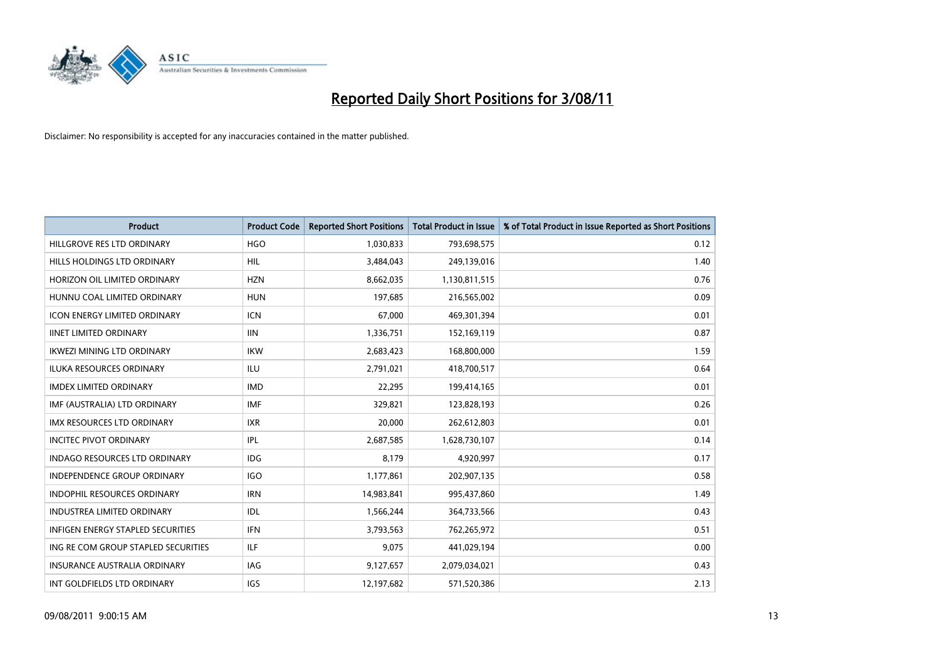

| <b>Product</b>                           | <b>Product Code</b> | <b>Reported Short Positions</b> | <b>Total Product in Issue</b> | % of Total Product in Issue Reported as Short Positions |
|------------------------------------------|---------------------|---------------------------------|-------------------------------|---------------------------------------------------------|
| HILLGROVE RES LTD ORDINARY               | <b>HGO</b>          | 1,030,833                       | 793,698,575                   | 0.12                                                    |
| HILLS HOLDINGS LTD ORDINARY              | <b>HIL</b>          | 3,484,043                       | 249,139,016                   | 1.40                                                    |
| HORIZON OIL LIMITED ORDINARY             | <b>HZN</b>          | 8,662,035                       | 1,130,811,515                 | 0.76                                                    |
| HUNNU COAL LIMITED ORDINARY              | <b>HUN</b>          | 197,685                         | 216,565,002                   | 0.09                                                    |
| <b>ICON ENERGY LIMITED ORDINARY</b>      | <b>ICN</b>          | 67.000                          | 469,301,394                   | 0.01                                                    |
| <b>IINET LIMITED ORDINARY</b>            | <b>IIN</b>          | 1,336,751                       | 152,169,119                   | 0.87                                                    |
| <b>IKWEZI MINING LTD ORDINARY</b>        | <b>IKW</b>          | 2,683,423                       | 168,800,000                   | 1.59                                                    |
| <b>ILUKA RESOURCES ORDINARY</b>          | <b>ILU</b>          | 2,791,021                       | 418,700,517                   | 0.64                                                    |
| <b>IMDEX LIMITED ORDINARY</b>            | <b>IMD</b>          | 22,295                          | 199,414,165                   | 0.01                                                    |
| IMF (AUSTRALIA) LTD ORDINARY             | <b>IMF</b>          | 329,821                         | 123,828,193                   | 0.26                                                    |
| <b>IMX RESOURCES LTD ORDINARY</b>        | <b>IXR</b>          | 20,000                          | 262,612,803                   | 0.01                                                    |
| <b>INCITEC PIVOT ORDINARY</b>            | IPL                 | 2,687,585                       | 1,628,730,107                 | 0.14                                                    |
| <b>INDAGO RESOURCES LTD ORDINARY</b>     | IDG                 | 8.179                           | 4,920,997                     | 0.17                                                    |
| <b>INDEPENDENCE GROUP ORDINARY</b>       | <b>IGO</b>          | 1,177,861                       | 202,907,135                   | 0.58                                                    |
| INDOPHIL RESOURCES ORDINARY              | <b>IRN</b>          | 14,983,841                      | 995,437,860                   | 1.49                                                    |
| <b>INDUSTREA LIMITED ORDINARY</b>        | IDL                 | 1,566,244                       | 364,733,566                   | 0.43                                                    |
| <b>INFIGEN ENERGY STAPLED SECURITIES</b> | <b>IFN</b>          | 3,793,563                       | 762,265,972                   | 0.51                                                    |
| ING RE COM GROUP STAPLED SECURITIES      | <b>ILF</b>          | 9,075                           | 441,029,194                   | 0.00                                                    |
| <b>INSURANCE AUSTRALIA ORDINARY</b>      | <b>IAG</b>          | 9,127,657                       | 2,079,034,021                 | 0.43                                                    |
| INT GOLDFIELDS LTD ORDINARY              | <b>IGS</b>          | 12,197,682                      | 571,520,386                   | 2.13                                                    |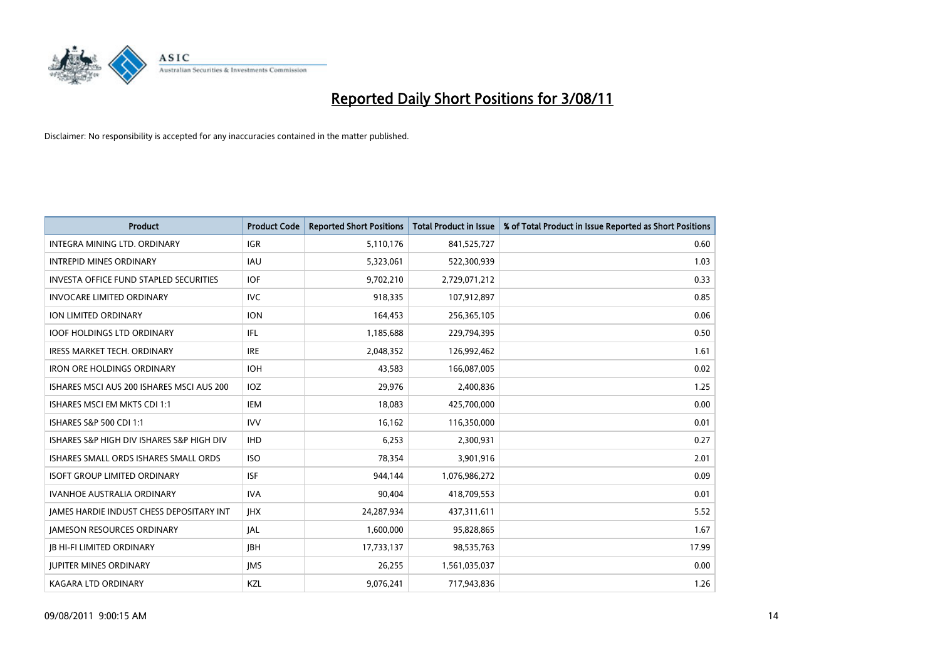

| <b>Product</b>                                  | <b>Product Code</b> | <b>Reported Short Positions</b> | <b>Total Product in Issue</b> | % of Total Product in Issue Reported as Short Positions |
|-------------------------------------------------|---------------------|---------------------------------|-------------------------------|---------------------------------------------------------|
| INTEGRA MINING LTD, ORDINARY                    | <b>IGR</b>          | 5,110,176                       | 841,525,727                   | 0.60                                                    |
| <b>INTREPID MINES ORDINARY</b>                  | <b>IAU</b>          | 5,323,061                       | 522,300,939                   | 1.03                                                    |
| <b>INVESTA OFFICE FUND STAPLED SECURITIES</b>   | <b>IOF</b>          | 9,702,210                       | 2,729,071,212                 | 0.33                                                    |
| <b>INVOCARE LIMITED ORDINARY</b>                | <b>IVC</b>          | 918,335                         | 107,912,897                   | 0.85                                                    |
| <b>ION LIMITED ORDINARY</b>                     | <b>ION</b>          | 164,453                         | 256,365,105                   | 0.06                                                    |
| <b>IOOF HOLDINGS LTD ORDINARY</b>               | IFL.                | 1,185,688                       | 229,794,395                   | 0.50                                                    |
| <b>IRESS MARKET TECH. ORDINARY</b>              | <b>IRE</b>          | 2,048,352                       | 126,992,462                   | 1.61                                                    |
| <b>IRON ORE HOLDINGS ORDINARY</b>               | <b>IOH</b>          | 43,583                          | 166,087,005                   | 0.02                                                    |
| ISHARES MSCI AUS 200 ISHARES MSCI AUS 200       | IOZ                 | 29,976                          | 2,400,836                     | 1.25                                                    |
| ISHARES MSCI EM MKTS CDI 1:1                    | <b>IEM</b>          | 18,083                          | 425,700,000                   | 0.00                                                    |
| <b>ISHARES S&amp;P 500 CDI 1:1</b>              | <b>IVV</b>          | 16,162                          | 116,350,000                   | 0.01                                                    |
| ISHARES S&P HIGH DIV ISHARES S&P HIGH DIV       | <b>IHD</b>          | 6,253                           | 2,300,931                     | 0.27                                                    |
| ISHARES SMALL ORDS ISHARES SMALL ORDS           | <b>ISO</b>          | 78,354                          | 3,901,916                     | 2.01                                                    |
| <b>ISOFT GROUP LIMITED ORDINARY</b>             | <b>ISF</b>          | 944.144                         | 1,076,986,272                 | 0.09                                                    |
| <b>IVANHOE AUSTRALIA ORDINARY</b>               | <b>IVA</b>          | 90,404                          | 418,709,553                   | 0.01                                                    |
| <b>JAMES HARDIE INDUST CHESS DEPOSITARY INT</b> | <b>IHX</b>          | 24,287,934                      | 437,311,611                   | 5.52                                                    |
| <b>JAMESON RESOURCES ORDINARY</b>               | <b>JAL</b>          | 1,600,000                       | 95,828,865                    | 1.67                                                    |
| <b>JB HI-FI LIMITED ORDINARY</b>                | <b>IBH</b>          | 17,733,137                      | 98,535,763                    | 17.99                                                   |
| <b>JUPITER MINES ORDINARY</b>                   | <b>IMS</b>          | 26,255                          | 1,561,035,037                 | 0.00                                                    |
| <b>KAGARA LTD ORDINARY</b>                      | KZL                 | 9,076,241                       | 717,943,836                   | 1.26                                                    |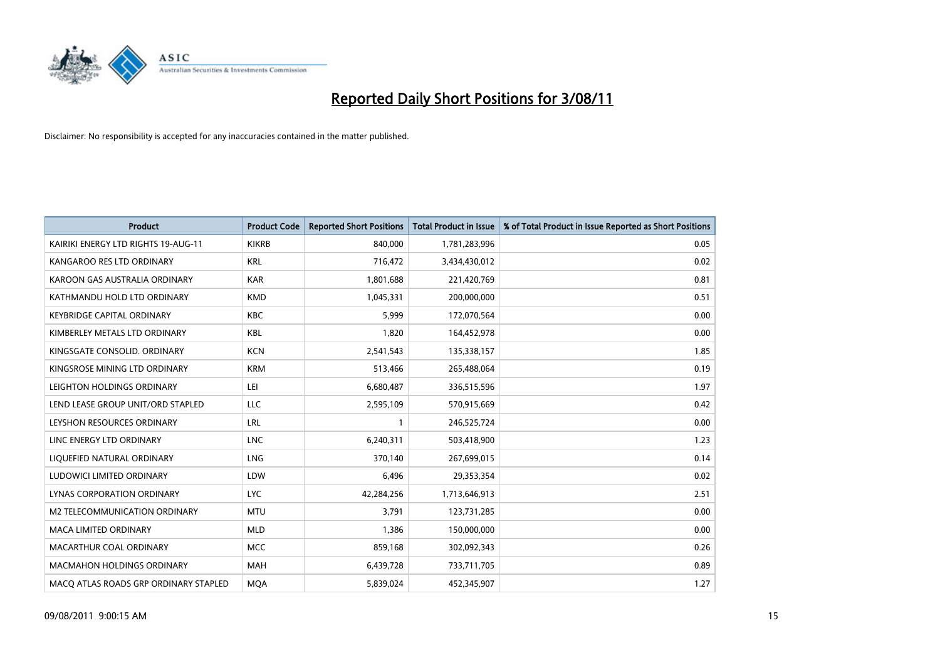

| <b>Product</b>                        | <b>Product Code</b> | <b>Reported Short Positions</b> | <b>Total Product in Issue</b> | % of Total Product in Issue Reported as Short Positions |
|---------------------------------------|---------------------|---------------------------------|-------------------------------|---------------------------------------------------------|
| KAIRIKI ENERGY LTD RIGHTS 19-AUG-11   | <b>KIKRB</b>        | 840,000                         | 1,781,283,996                 | 0.05                                                    |
| KANGAROO RES LTD ORDINARY             | <b>KRL</b>          | 716,472                         | 3,434,430,012                 | 0.02                                                    |
| KAROON GAS AUSTRALIA ORDINARY         | <b>KAR</b>          | 1,801,688                       | 221,420,769                   | 0.81                                                    |
| KATHMANDU HOLD LTD ORDINARY           | <b>KMD</b>          | 1,045,331                       | 200,000,000                   | 0.51                                                    |
| <b>KEYBRIDGE CAPITAL ORDINARY</b>     | <b>KBC</b>          | 5,999                           | 172,070,564                   | 0.00                                                    |
| KIMBERLEY METALS LTD ORDINARY         | <b>KBL</b>          | 1,820                           | 164,452,978                   | 0.00                                                    |
| KINGSGATE CONSOLID, ORDINARY          | <b>KCN</b>          | 2,541,543                       | 135,338,157                   | 1.85                                                    |
| KINGSROSE MINING LTD ORDINARY         | <b>KRM</b>          | 513,466                         | 265,488,064                   | 0.19                                                    |
| LEIGHTON HOLDINGS ORDINARY            | LEI                 | 6,680,487                       | 336,515,596                   | 1.97                                                    |
| LEND LEASE GROUP UNIT/ORD STAPLED     | LLC                 | 2,595,109                       | 570,915,669                   | 0.42                                                    |
| LEYSHON RESOURCES ORDINARY            | <b>LRL</b>          |                                 | 246,525,724                   | 0.00                                                    |
| LINC ENERGY LTD ORDINARY              | <b>LNC</b>          | 6,240,311                       | 503,418,900                   | 1.23                                                    |
| LIQUEFIED NATURAL ORDINARY            | <b>LNG</b>          | 370,140                         | 267,699,015                   | 0.14                                                    |
| LUDOWICI LIMITED ORDINARY             | LDW                 | 6,496                           | 29,353,354                    | 0.02                                                    |
| LYNAS CORPORATION ORDINARY            | <b>LYC</b>          | 42,284,256                      | 1,713,646,913                 | 2.51                                                    |
| M2 TELECOMMUNICATION ORDINARY         | <b>MTU</b>          | 3.791                           | 123,731,285                   | 0.00                                                    |
| <b>MACA LIMITED ORDINARY</b>          | <b>MLD</b>          | 1,386                           | 150,000,000                   | 0.00                                                    |
| MACARTHUR COAL ORDINARY               | <b>MCC</b>          | 859,168                         | 302,092,343                   | 0.26                                                    |
| <b>MACMAHON HOLDINGS ORDINARY</b>     | <b>MAH</b>          | 6,439,728                       | 733,711,705                   | 0.89                                                    |
| MACO ATLAS ROADS GRP ORDINARY STAPLED | <b>MOA</b>          | 5,839,024                       | 452,345,907                   | 1.27                                                    |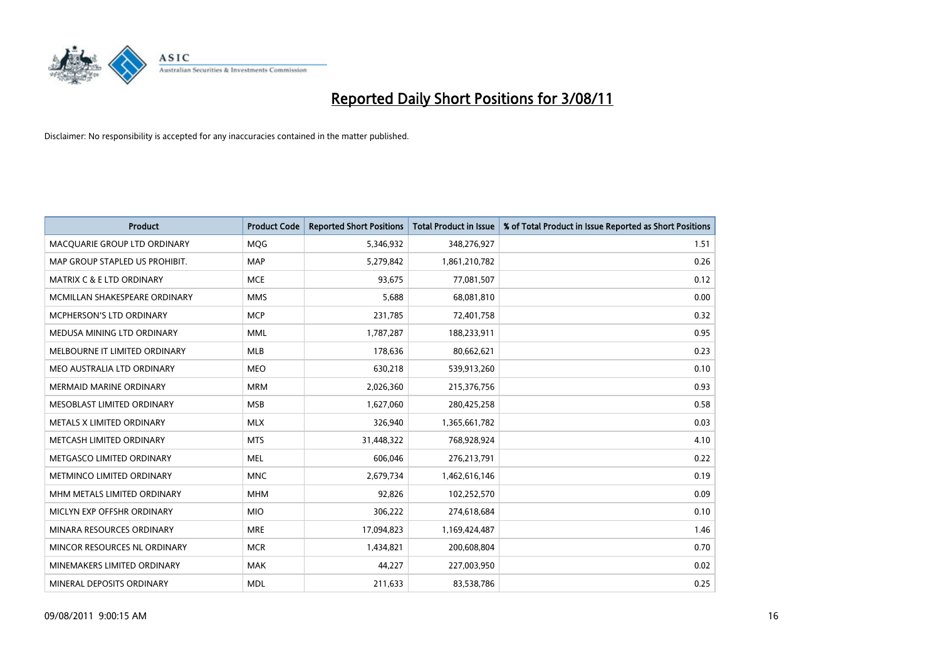

| <b>Product</b>                  | <b>Product Code</b> | <b>Reported Short Positions</b> | <b>Total Product in Issue</b> | % of Total Product in Issue Reported as Short Positions |
|---------------------------------|---------------------|---------------------------------|-------------------------------|---------------------------------------------------------|
| MACQUARIE GROUP LTD ORDINARY    | <b>MQG</b>          | 5,346,932                       | 348,276,927                   | 1.51                                                    |
| MAP GROUP STAPLED US PROHIBIT.  | <b>MAP</b>          | 5,279,842                       | 1,861,210,782                 | 0.26                                                    |
| MATRIX C & E LTD ORDINARY       | <b>MCE</b>          | 93,675                          | 77,081,507                    | 0.12                                                    |
| MCMILLAN SHAKESPEARE ORDINARY   | <b>MMS</b>          | 5,688                           | 68,081,810                    | 0.00                                                    |
| <b>MCPHERSON'S LTD ORDINARY</b> | <b>MCP</b>          | 231,785                         | 72,401,758                    | 0.32                                                    |
| MEDUSA MINING LTD ORDINARY      | <b>MML</b>          | 1,787,287                       | 188,233,911                   | 0.95                                                    |
| MELBOURNE IT LIMITED ORDINARY   | <b>MLB</b>          | 178,636                         | 80,662,621                    | 0.23                                                    |
| MEO AUSTRALIA LTD ORDINARY      | <b>MEO</b>          | 630,218                         | 539,913,260                   | 0.10                                                    |
| <b>MERMAID MARINE ORDINARY</b>  | <b>MRM</b>          | 2,026,360                       | 215,376,756                   | 0.93                                                    |
| MESOBLAST LIMITED ORDINARY      | <b>MSB</b>          | 1,627,060                       | 280,425,258                   | 0.58                                                    |
| METALS X LIMITED ORDINARY       | <b>MLX</b>          | 326,940                         | 1,365,661,782                 | 0.03                                                    |
| METCASH LIMITED ORDINARY        | <b>MTS</b>          | 31,448,322                      | 768,928,924                   | 4.10                                                    |
| METGASCO LIMITED ORDINARY       | <b>MEL</b>          | 606,046                         | 276,213,791                   | 0.22                                                    |
| METMINCO LIMITED ORDINARY       | <b>MNC</b>          | 2,679,734                       | 1,462,616,146                 | 0.19                                                    |
| MHM METALS LIMITED ORDINARY     | <b>MHM</b>          | 92,826                          | 102,252,570                   | 0.09                                                    |
| MICLYN EXP OFFSHR ORDINARY      | <b>MIO</b>          | 306,222                         | 274,618,684                   | 0.10                                                    |
| MINARA RESOURCES ORDINARY       | <b>MRE</b>          | 17,094,823                      | 1,169,424,487                 | 1.46                                                    |
| MINCOR RESOURCES NL ORDINARY    | <b>MCR</b>          | 1,434,821                       | 200,608,804                   | 0.70                                                    |
| MINEMAKERS LIMITED ORDINARY     | <b>MAK</b>          | 44,227                          | 227,003,950                   | 0.02                                                    |
| MINERAL DEPOSITS ORDINARY       | <b>MDL</b>          | 211,633                         | 83,538,786                    | 0.25                                                    |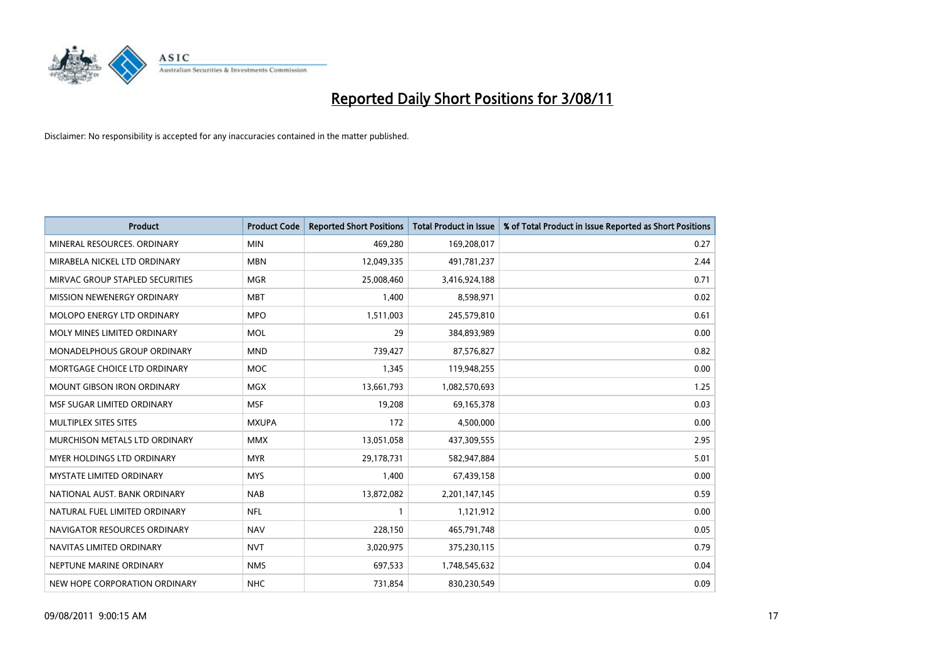

| <b>Product</b>                       | <b>Product Code</b> | <b>Reported Short Positions</b> | Total Product in Issue | % of Total Product in Issue Reported as Short Positions |
|--------------------------------------|---------------------|---------------------------------|------------------------|---------------------------------------------------------|
| MINERAL RESOURCES, ORDINARY          | <b>MIN</b>          | 469,280                         | 169,208,017            | 0.27                                                    |
| MIRABELA NICKEL LTD ORDINARY         | <b>MBN</b>          | 12,049,335                      | 491,781,237            | 2.44                                                    |
| MIRVAC GROUP STAPLED SECURITIES      | <b>MGR</b>          | 25,008,460                      | 3,416,924,188          | 0.71                                                    |
| MISSION NEWENERGY ORDINARY           | <b>MBT</b>          | 1,400                           | 8,598,971              | 0.02                                                    |
| MOLOPO ENERGY LTD ORDINARY           | <b>MPO</b>          | 1,511,003                       | 245,579,810            | 0.61                                                    |
| MOLY MINES LIMITED ORDINARY          | <b>MOL</b>          | 29                              | 384,893,989            | 0.00                                                    |
| <b>MONADELPHOUS GROUP ORDINARY</b>   | <b>MND</b>          | 739.427                         | 87,576,827             | 0.82                                                    |
| MORTGAGE CHOICE LTD ORDINARY         | <b>MOC</b>          | 1,345                           | 119,948,255            | 0.00                                                    |
| <b>MOUNT GIBSON IRON ORDINARY</b>    | <b>MGX</b>          | 13,661,793                      | 1,082,570,693          | 1.25                                                    |
| MSF SUGAR LIMITED ORDINARY           | <b>MSF</b>          | 19,208                          | 69,165,378             | 0.03                                                    |
| <b>MULTIPLEX SITES SITES</b>         | <b>MXUPA</b>        | 172                             | 4,500,000              | 0.00                                                    |
| <b>MURCHISON METALS LTD ORDINARY</b> | <b>MMX</b>          | 13,051,058                      | 437,309,555            | 2.95                                                    |
| <b>MYER HOLDINGS LTD ORDINARY</b>    | <b>MYR</b>          | 29,178,731                      | 582,947,884            | 5.01                                                    |
| <b>MYSTATE LIMITED ORDINARY</b>      | <b>MYS</b>          | 1,400                           | 67,439,158             | 0.00                                                    |
| NATIONAL AUST. BANK ORDINARY         | <b>NAB</b>          | 13,872,082                      | 2,201,147,145          | 0.59                                                    |
| NATURAL FUEL LIMITED ORDINARY        | <b>NFL</b>          |                                 | 1,121,912              | 0.00                                                    |
| NAVIGATOR RESOURCES ORDINARY         | <b>NAV</b>          | 228,150                         | 465,791,748            | 0.05                                                    |
| NAVITAS LIMITED ORDINARY             | <b>NVT</b>          | 3,020,975                       | 375,230,115            | 0.79                                                    |
| NEPTUNE MARINE ORDINARY              | <b>NMS</b>          | 697,533                         | 1,748,545,632          | 0.04                                                    |
| NEW HOPE CORPORATION ORDINARY        | <b>NHC</b>          | 731,854                         | 830,230,549            | 0.09                                                    |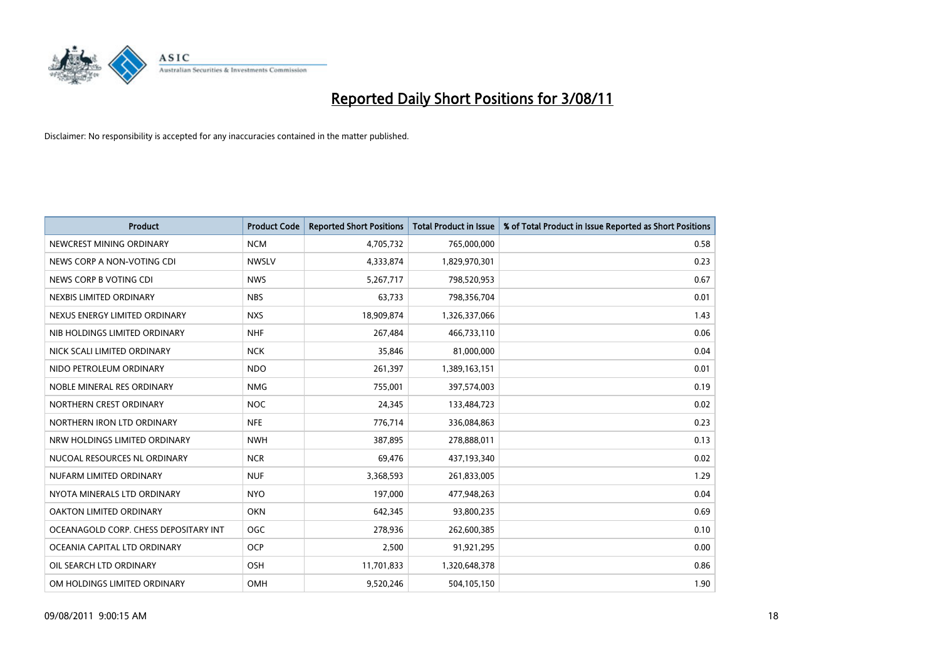

| <b>Product</b>                        | <b>Product Code</b> | <b>Reported Short Positions</b> | <b>Total Product in Issue</b> | % of Total Product in Issue Reported as Short Positions |
|---------------------------------------|---------------------|---------------------------------|-------------------------------|---------------------------------------------------------|
| NEWCREST MINING ORDINARY              | <b>NCM</b>          | 4,705,732                       | 765,000,000                   | 0.58                                                    |
| NEWS CORP A NON-VOTING CDI            | <b>NWSLV</b>        | 4,333,874                       | 1,829,970,301                 | 0.23                                                    |
| NEWS CORP B VOTING CDI                | <b>NWS</b>          | 5,267,717                       | 798,520,953                   | 0.67                                                    |
| NEXBIS LIMITED ORDINARY               | <b>NBS</b>          | 63,733                          | 798,356,704                   | 0.01                                                    |
| NEXUS ENERGY LIMITED ORDINARY         | <b>NXS</b>          | 18,909,874                      | 1,326,337,066                 | 1.43                                                    |
| NIB HOLDINGS LIMITED ORDINARY         | <b>NHF</b>          | 267,484                         | 466,733,110                   | 0.06                                                    |
| NICK SCALI LIMITED ORDINARY           | <b>NCK</b>          | 35,846                          | 81,000,000                    | 0.04                                                    |
| NIDO PETROLEUM ORDINARY               | <b>NDO</b>          | 261,397                         | 1,389,163,151                 | 0.01                                                    |
| NOBLE MINERAL RES ORDINARY            | <b>NMG</b>          | 755,001                         | 397,574,003                   | 0.19                                                    |
| NORTHERN CREST ORDINARY               | <b>NOC</b>          | 24,345                          | 133,484,723                   | 0.02                                                    |
| NORTHERN IRON LTD ORDINARY            | <b>NFE</b>          | 776,714                         | 336,084,863                   | 0.23                                                    |
| NRW HOLDINGS LIMITED ORDINARY         | <b>NWH</b>          | 387,895                         | 278,888,011                   | 0.13                                                    |
| NUCOAL RESOURCES NL ORDINARY          | <b>NCR</b>          | 69,476                          | 437,193,340                   | 0.02                                                    |
| NUFARM LIMITED ORDINARY               | <b>NUF</b>          | 3,368,593                       | 261,833,005                   | 1.29                                                    |
| NYOTA MINERALS LTD ORDINARY           | <b>NYO</b>          | 197,000                         | 477,948,263                   | 0.04                                                    |
| <b>OAKTON LIMITED ORDINARY</b>        | <b>OKN</b>          | 642,345                         | 93,800,235                    | 0.69                                                    |
| OCEANAGOLD CORP. CHESS DEPOSITARY INT | <b>OGC</b>          | 278,936                         | 262,600,385                   | 0.10                                                    |
| OCEANIA CAPITAL LTD ORDINARY          | <b>OCP</b>          | 2,500                           | 91,921,295                    | 0.00                                                    |
| OIL SEARCH LTD ORDINARY               | <b>OSH</b>          | 11,701,833                      | 1,320,648,378                 | 0.86                                                    |
| OM HOLDINGS LIMITED ORDINARY          | OMH                 | 9,520,246                       | 504,105,150                   | 1.90                                                    |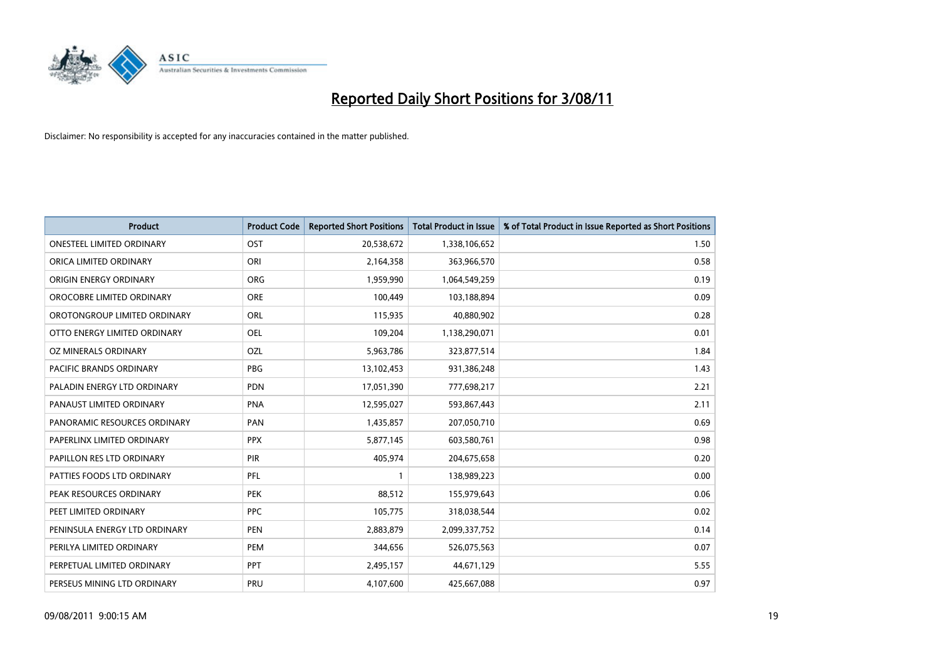

| <b>Product</b>                   | <b>Product Code</b> | <b>Reported Short Positions</b> | <b>Total Product in Issue</b> | % of Total Product in Issue Reported as Short Positions |
|----------------------------------|---------------------|---------------------------------|-------------------------------|---------------------------------------------------------|
| <b>ONESTEEL LIMITED ORDINARY</b> | OST                 | 20,538,672                      | 1,338,106,652                 | 1.50                                                    |
| ORICA LIMITED ORDINARY           | ORI                 | 2,164,358                       | 363,966,570                   | 0.58                                                    |
| ORIGIN ENERGY ORDINARY           | <b>ORG</b>          | 1,959,990                       | 1,064,549,259                 | 0.19                                                    |
| OROCOBRE LIMITED ORDINARY        | <b>ORE</b>          | 100,449                         | 103,188,894                   | 0.09                                                    |
| OROTONGROUP LIMITED ORDINARY     | ORL                 | 115,935                         | 40,880,902                    | 0.28                                                    |
| OTTO ENERGY LIMITED ORDINARY     | OEL                 | 109,204                         | 1,138,290,071                 | 0.01                                                    |
| OZ MINERALS ORDINARY             | <b>OZL</b>          | 5,963,786                       | 323,877,514                   | 1.84                                                    |
| PACIFIC BRANDS ORDINARY          | <b>PBG</b>          | 13,102,453                      | 931,386,248                   | 1.43                                                    |
| PALADIN ENERGY LTD ORDINARY      | <b>PDN</b>          | 17,051,390                      | 777,698,217                   | 2.21                                                    |
| PANAUST LIMITED ORDINARY         | <b>PNA</b>          | 12,595,027                      | 593,867,443                   | 2.11                                                    |
| PANORAMIC RESOURCES ORDINARY     | PAN                 | 1,435,857                       | 207,050,710                   | 0.69                                                    |
| PAPERLINX LIMITED ORDINARY       | <b>PPX</b>          | 5,877,145                       | 603,580,761                   | 0.98                                                    |
| PAPILLON RES LTD ORDINARY        | PIR                 | 405,974                         | 204,675,658                   | 0.20                                                    |
| PATTIES FOODS LTD ORDINARY       | PFL                 |                                 | 138,989,223                   | 0.00                                                    |
| PEAK RESOURCES ORDINARY          | <b>PEK</b>          | 88,512                          | 155,979,643                   | 0.06                                                    |
| PEET LIMITED ORDINARY            | <b>PPC</b>          | 105,775                         | 318,038,544                   | 0.02                                                    |
| PENINSULA ENERGY LTD ORDINARY    | <b>PEN</b>          | 2,883,879                       | 2,099,337,752                 | 0.14                                                    |
| PERILYA LIMITED ORDINARY         | PEM                 | 344,656                         | 526,075,563                   | 0.07                                                    |
| PERPETUAL LIMITED ORDINARY       | <b>PPT</b>          | 2,495,157                       | 44,671,129                    | 5.55                                                    |
| PERSEUS MINING LTD ORDINARY      | PRU                 | 4,107,600                       | 425,667,088                   | 0.97                                                    |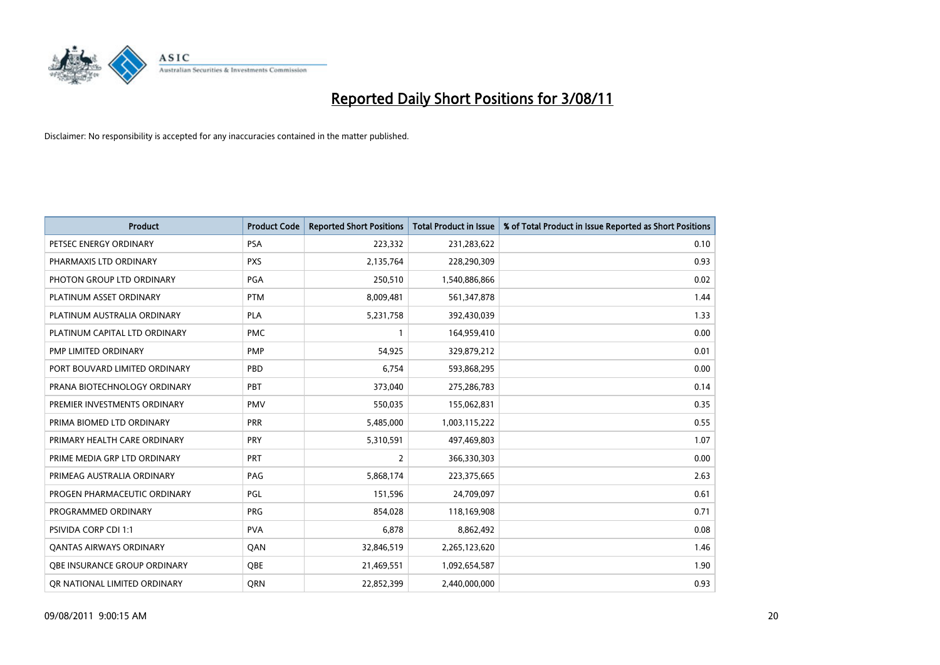

| <b>Product</b>                      | <b>Product Code</b> | <b>Reported Short Positions</b> | Total Product in Issue | % of Total Product in Issue Reported as Short Positions |
|-------------------------------------|---------------------|---------------------------------|------------------------|---------------------------------------------------------|
| PETSEC ENERGY ORDINARY              | <b>PSA</b>          | 223,332                         | 231,283,622            | 0.10                                                    |
| PHARMAXIS LTD ORDINARY              | <b>PXS</b>          | 2,135,764                       | 228,290,309            | 0.93                                                    |
| PHOTON GROUP LTD ORDINARY           | <b>PGA</b>          | 250,510                         | 1,540,886,866          | 0.02                                                    |
| PLATINUM ASSET ORDINARY             | <b>PTM</b>          | 8,009,481                       | 561,347,878            | 1.44                                                    |
| PLATINUM AUSTRALIA ORDINARY         | PLA                 | 5,231,758                       | 392,430,039            | 1.33                                                    |
| PLATINUM CAPITAL LTD ORDINARY       | <b>PMC</b>          |                                 | 164,959,410            | 0.00                                                    |
| PMP LIMITED ORDINARY                | <b>PMP</b>          | 54,925                          | 329,879,212            | 0.01                                                    |
| PORT BOUVARD LIMITED ORDINARY       | PBD                 | 6,754                           | 593,868,295            | 0.00                                                    |
| PRANA BIOTECHNOLOGY ORDINARY        | PBT                 | 373,040                         | 275,286,783            | 0.14                                                    |
| PREMIER INVESTMENTS ORDINARY        | <b>PMV</b>          | 550,035                         | 155,062,831            | 0.35                                                    |
| PRIMA BIOMED LTD ORDINARY           | <b>PRR</b>          | 5,485,000                       | 1,003,115,222          | 0.55                                                    |
| PRIMARY HEALTH CARE ORDINARY        | PRY                 | 5,310,591                       | 497,469,803            | 1.07                                                    |
| PRIME MEDIA GRP LTD ORDINARY        | PRT                 | $\overline{2}$                  | 366,330,303            | 0.00                                                    |
| PRIMEAG AUSTRALIA ORDINARY          | PAG                 | 5,868,174                       | 223,375,665            | 2.63                                                    |
| PROGEN PHARMACEUTIC ORDINARY        | PGL                 | 151,596                         | 24,709,097             | 0.61                                                    |
| PROGRAMMED ORDINARY                 | <b>PRG</b>          | 854,028                         | 118,169,908            | 0.71                                                    |
| <b>PSIVIDA CORP CDI 1:1</b>         | <b>PVA</b>          | 6,878                           | 8,862,492              | 0.08                                                    |
| <b>QANTAS AIRWAYS ORDINARY</b>      | QAN                 | 32,846,519                      | 2,265,123,620          | 1.46                                                    |
| <b>OBE INSURANCE GROUP ORDINARY</b> | <b>OBE</b>          | 21,469,551                      | 1,092,654,587          | 1.90                                                    |
| OR NATIONAL LIMITED ORDINARY        | <b>ORN</b>          | 22,852,399                      | 2,440,000,000          | 0.93                                                    |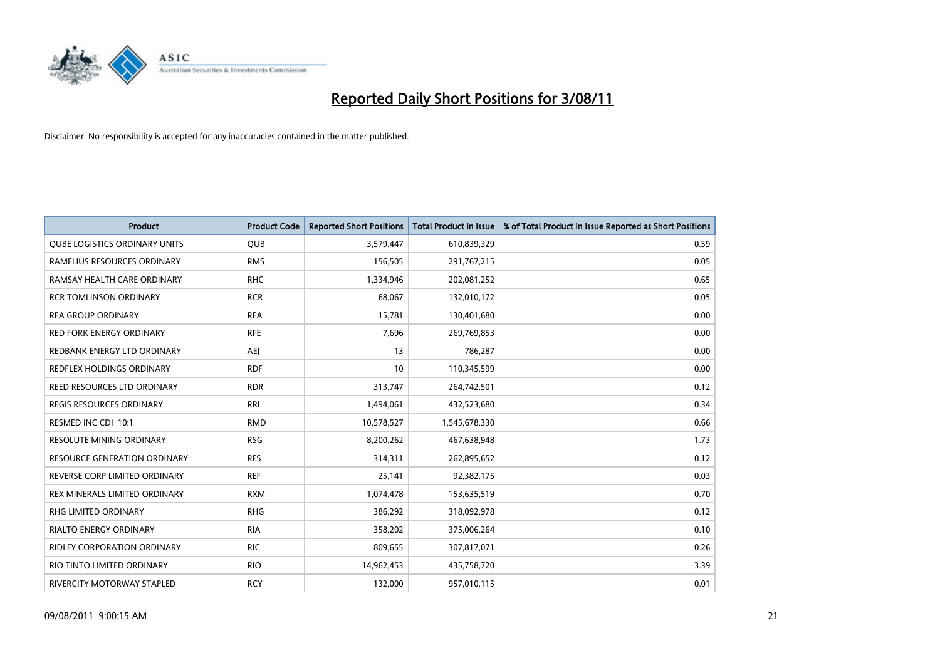

| <b>Product</b>                       | <b>Product Code</b> | <b>Reported Short Positions</b> | <b>Total Product in Issue</b> | % of Total Product in Issue Reported as Short Positions |
|--------------------------------------|---------------------|---------------------------------|-------------------------------|---------------------------------------------------------|
| <b>QUBE LOGISTICS ORDINARY UNITS</b> | <b>QUB</b>          | 3,579,447                       | 610,839,329                   | 0.59                                                    |
| RAMELIUS RESOURCES ORDINARY          | <b>RMS</b>          | 156,505                         | 291,767,215                   | 0.05                                                    |
| RAMSAY HEALTH CARE ORDINARY          | <b>RHC</b>          | 1,334,946                       | 202,081,252                   | 0.65                                                    |
| <b>RCR TOMLINSON ORDINARY</b>        | <b>RCR</b>          | 68,067                          | 132,010,172                   | 0.05                                                    |
| <b>REA GROUP ORDINARY</b>            | <b>REA</b>          | 15,781                          | 130,401,680                   | 0.00                                                    |
| <b>RED FORK ENERGY ORDINARY</b>      | <b>RFE</b>          | 7,696                           | 269,769,853                   | 0.00                                                    |
| REDBANK ENERGY LTD ORDINARY          | AEJ                 | 13                              | 786,287                       | 0.00                                                    |
| REDFLEX HOLDINGS ORDINARY            | <b>RDF</b>          | 10                              | 110,345,599                   | 0.00                                                    |
| REED RESOURCES LTD ORDINARY          | <b>RDR</b>          | 313,747                         | 264,742,501                   | 0.12                                                    |
| <b>REGIS RESOURCES ORDINARY</b>      | <b>RRL</b>          | 1,494,061                       | 432,523,680                   | 0.34                                                    |
| RESMED INC CDI 10:1                  | <b>RMD</b>          | 10,578,527                      | 1,545,678,330                 | 0.66                                                    |
| RESOLUTE MINING ORDINARY             | <b>RSG</b>          | 8,200,262                       | 467,638,948                   | 1.73                                                    |
| <b>RESOURCE GENERATION ORDINARY</b>  | <b>RES</b>          | 314,311                         | 262,895,652                   | 0.12                                                    |
| REVERSE CORP LIMITED ORDINARY        | <b>REF</b>          | 25,141                          | 92,382,175                    | 0.03                                                    |
| <b>REX MINERALS LIMITED ORDINARY</b> | <b>RXM</b>          | 1,074,478                       | 153,635,519                   | 0.70                                                    |
| <b>RHG LIMITED ORDINARY</b>          | <b>RHG</b>          | 386,292                         | 318,092,978                   | 0.12                                                    |
| <b>RIALTO ENERGY ORDINARY</b>        | <b>RIA</b>          | 358,202                         | 375,006,264                   | 0.10                                                    |
| RIDLEY CORPORATION ORDINARY          | <b>RIC</b>          | 809,655                         | 307,817,071                   | 0.26                                                    |
| RIO TINTO LIMITED ORDINARY           | <b>RIO</b>          | 14,962,453                      | 435,758,720                   | 3.39                                                    |
| RIVERCITY MOTORWAY STAPLED           | <b>RCY</b>          | 132,000                         | 957,010,115                   | 0.01                                                    |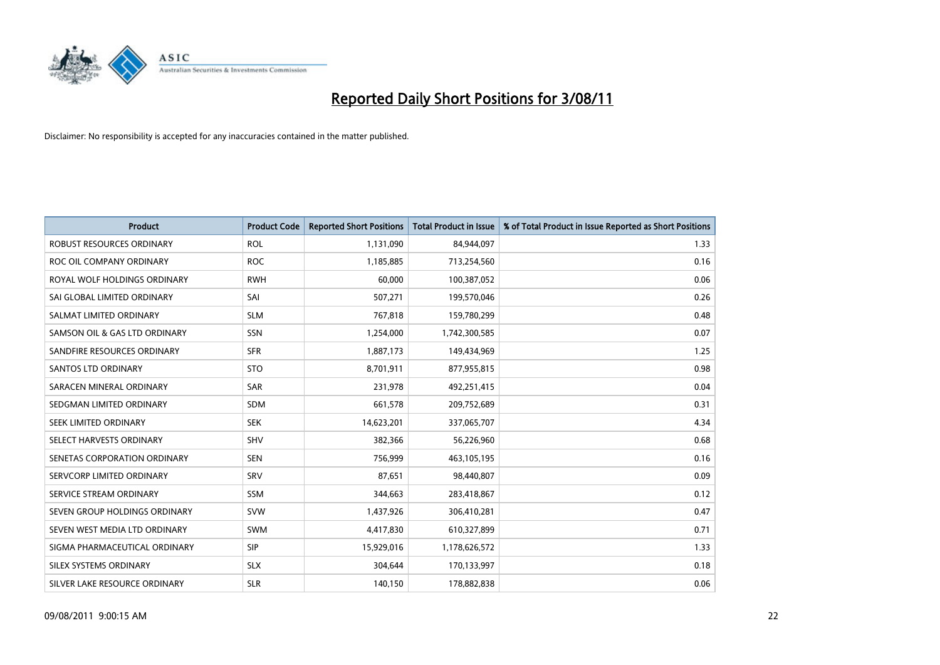

| <b>Product</b>                | <b>Product Code</b> | <b>Reported Short Positions</b> | <b>Total Product in Issue</b> | % of Total Product in Issue Reported as Short Positions |
|-------------------------------|---------------------|---------------------------------|-------------------------------|---------------------------------------------------------|
| ROBUST RESOURCES ORDINARY     | <b>ROL</b>          | 1,131,090                       | 84,944,097                    | 1.33                                                    |
| ROC OIL COMPANY ORDINARY      | <b>ROC</b>          | 1,185,885                       | 713,254,560                   | 0.16                                                    |
| ROYAL WOLF HOLDINGS ORDINARY  | <b>RWH</b>          | 60,000                          | 100,387,052                   | 0.06                                                    |
| SAI GLOBAL LIMITED ORDINARY   | SAI                 | 507,271                         | 199,570,046                   | 0.26                                                    |
| SALMAT LIMITED ORDINARY       | <b>SLM</b>          | 767,818                         | 159,780,299                   | 0.48                                                    |
| SAMSON OIL & GAS LTD ORDINARY | SSN                 | 1,254,000                       | 1,742,300,585                 | 0.07                                                    |
| SANDFIRE RESOURCES ORDINARY   | <b>SFR</b>          | 1,887,173                       | 149,434,969                   | 1.25                                                    |
| SANTOS LTD ORDINARY           | <b>STO</b>          | 8,701,911                       | 877,955,815                   | 0.98                                                    |
| SARACEN MINERAL ORDINARY      | <b>SAR</b>          | 231,978                         | 492,251,415                   | 0.04                                                    |
| SEDGMAN LIMITED ORDINARY      | <b>SDM</b>          | 661,578                         | 209,752,689                   | 0.31                                                    |
| SEEK LIMITED ORDINARY         | <b>SEK</b>          | 14,623,201                      | 337,065,707                   | 4.34                                                    |
| SELECT HARVESTS ORDINARY      | <b>SHV</b>          | 382,366                         | 56,226,960                    | 0.68                                                    |
| SENETAS CORPORATION ORDINARY  | <b>SEN</b>          | 756,999                         | 463,105,195                   | 0.16                                                    |
| SERVCORP LIMITED ORDINARY     | SRV                 | 87.651                          | 98,440,807                    | 0.09                                                    |
| SERVICE STREAM ORDINARY       | <b>SSM</b>          | 344,663                         | 283,418,867                   | 0.12                                                    |
| SEVEN GROUP HOLDINGS ORDINARY | <b>SVW</b>          | 1,437,926                       | 306,410,281                   | 0.47                                                    |
| SEVEN WEST MEDIA LTD ORDINARY | <b>SWM</b>          | 4,417,830                       | 610,327,899                   | 0.71                                                    |
| SIGMA PHARMACEUTICAL ORDINARY | <b>SIP</b>          | 15,929,016                      | 1,178,626,572                 | 1.33                                                    |
| SILEX SYSTEMS ORDINARY        | <b>SLX</b>          | 304,644                         | 170,133,997                   | 0.18                                                    |
| SILVER LAKE RESOURCE ORDINARY | <b>SLR</b>          | 140,150                         | 178,882,838                   | 0.06                                                    |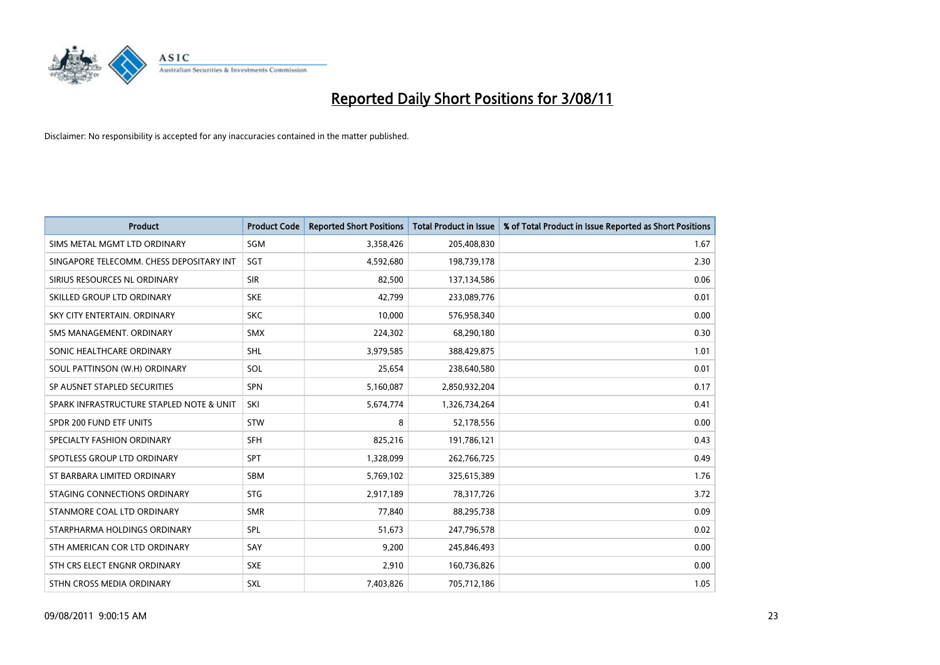

| <b>Product</b>                           | <b>Product Code</b> | <b>Reported Short Positions</b> | <b>Total Product in Issue</b> | % of Total Product in Issue Reported as Short Positions |
|------------------------------------------|---------------------|---------------------------------|-------------------------------|---------------------------------------------------------|
| SIMS METAL MGMT LTD ORDINARY             | SGM                 | 3,358,426                       | 205,408,830                   | 1.67                                                    |
| SINGAPORE TELECOMM. CHESS DEPOSITARY INT | SGT                 | 4,592,680                       | 198,739,178                   | 2.30                                                    |
| SIRIUS RESOURCES NL ORDINARY             | <b>SIR</b>          | 82,500                          | 137,134,586                   | 0.06                                                    |
| SKILLED GROUP LTD ORDINARY               | <b>SKE</b>          | 42,799                          | 233,089,776                   | 0.01                                                    |
| SKY CITY ENTERTAIN, ORDINARY             | <b>SKC</b>          | 10,000                          | 576,958,340                   | 0.00                                                    |
| SMS MANAGEMENT, ORDINARY                 | <b>SMX</b>          | 224,302                         | 68,290,180                    | 0.30                                                    |
| SONIC HEALTHCARE ORDINARY                | <b>SHL</b>          | 3,979,585                       | 388,429,875                   | 1.01                                                    |
| SOUL PATTINSON (W.H) ORDINARY            | SOL                 | 25,654                          | 238,640,580                   | 0.01                                                    |
| SP AUSNET STAPLED SECURITIES             | <b>SPN</b>          | 5,160,087                       | 2,850,932,204                 | 0.17                                                    |
| SPARK INFRASTRUCTURE STAPLED NOTE & UNIT | SKI                 | 5,674,774                       | 1,326,734,264                 | 0.41                                                    |
| SPDR 200 FUND ETF UNITS                  | STW                 | 8                               | 52,178,556                    | 0.00                                                    |
| SPECIALTY FASHION ORDINARY               | <b>SFH</b>          | 825,216                         | 191,786,121                   | 0.43                                                    |
| SPOTLESS GROUP LTD ORDINARY              | <b>SPT</b>          | 1,328,099                       | 262,766,725                   | 0.49                                                    |
| ST BARBARA LIMITED ORDINARY              | <b>SBM</b>          | 5,769,102                       | 325,615,389                   | 1.76                                                    |
| STAGING CONNECTIONS ORDINARY             | <b>STG</b>          | 2,917,189                       | 78,317,726                    | 3.72                                                    |
| STANMORE COAL LTD ORDINARY               | <b>SMR</b>          | 77,840                          | 88,295,738                    | 0.09                                                    |
| STARPHARMA HOLDINGS ORDINARY             | SPL                 | 51,673                          | 247,796,578                   | 0.02                                                    |
| STH AMERICAN COR LTD ORDINARY            | SAY                 | 9,200                           | 245,846,493                   | 0.00                                                    |
| STH CRS ELECT ENGNR ORDINARY             | <b>SXE</b>          | 2,910                           | 160,736,826                   | 0.00                                                    |
| STHN CROSS MEDIA ORDINARY                | SXL                 | 7,403,826                       | 705,712,186                   | 1.05                                                    |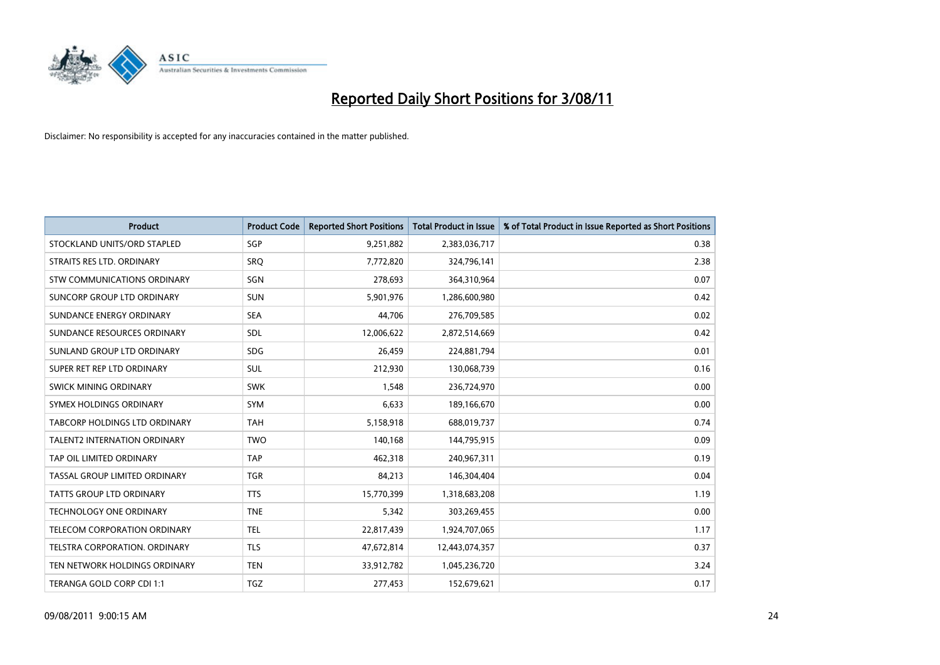

| <b>Product</b>                      | <b>Product Code</b> | <b>Reported Short Positions</b> | <b>Total Product in Issue</b> | % of Total Product in Issue Reported as Short Positions |
|-------------------------------------|---------------------|---------------------------------|-------------------------------|---------------------------------------------------------|
| STOCKLAND UNITS/ORD STAPLED         | <b>SGP</b>          | 9,251,882                       | 2,383,036,717                 | 0.38                                                    |
| STRAITS RES LTD. ORDINARY           | <b>SRO</b>          | 7,772,820                       | 324,796,141                   | 2.38                                                    |
| STW COMMUNICATIONS ORDINARY         | <b>SGN</b>          | 278,693                         | 364,310,964                   | 0.07                                                    |
| SUNCORP GROUP LTD ORDINARY          | <b>SUN</b>          | 5,901,976                       | 1,286,600,980                 | 0.42                                                    |
| SUNDANCE ENERGY ORDINARY            | <b>SEA</b>          | 44,706                          | 276,709,585                   | 0.02                                                    |
| SUNDANCE RESOURCES ORDINARY         | <b>SDL</b>          | 12,006,622                      | 2,872,514,669                 | 0.42                                                    |
| SUNLAND GROUP LTD ORDINARY          | <b>SDG</b>          | 26,459                          | 224,881,794                   | 0.01                                                    |
| SUPER RET REP LTD ORDINARY          | <b>SUL</b>          | 212,930                         | 130,068,739                   | 0.16                                                    |
| <b>SWICK MINING ORDINARY</b>        | <b>SWK</b>          | 1,548                           | 236,724,970                   | 0.00                                                    |
| SYMEX HOLDINGS ORDINARY             | <b>SYM</b>          | 6,633                           | 189,166,670                   | 0.00                                                    |
| TABCORP HOLDINGS LTD ORDINARY       | <b>TAH</b>          | 5,158,918                       | 688,019,737                   | 0.74                                                    |
| <b>TALENT2 INTERNATION ORDINARY</b> | <b>TWO</b>          | 140,168                         | 144,795,915                   | 0.09                                                    |
| TAP OIL LIMITED ORDINARY            | <b>TAP</b>          | 462,318                         | 240,967,311                   | 0.19                                                    |
| TASSAL GROUP LIMITED ORDINARY       | <b>TGR</b>          | 84,213                          | 146,304,404                   | 0.04                                                    |
| TATTS GROUP LTD ORDINARY            | <b>TTS</b>          | 15,770,399                      | 1,318,683,208                 | 1.19                                                    |
| <b>TECHNOLOGY ONE ORDINARY</b>      | <b>TNE</b>          | 5,342                           | 303,269,455                   | 0.00                                                    |
| <b>TELECOM CORPORATION ORDINARY</b> | <b>TEL</b>          | 22,817,439                      | 1,924,707,065                 | 1.17                                                    |
| TELSTRA CORPORATION. ORDINARY       | <b>TLS</b>          | 47,672,814                      | 12,443,074,357                | 0.37                                                    |
| TEN NETWORK HOLDINGS ORDINARY       | <b>TEN</b>          | 33,912,782                      | 1,045,236,720                 | 3.24                                                    |
| TERANGA GOLD CORP CDI 1:1           | <b>TGZ</b>          | 277,453                         | 152,679,621                   | 0.17                                                    |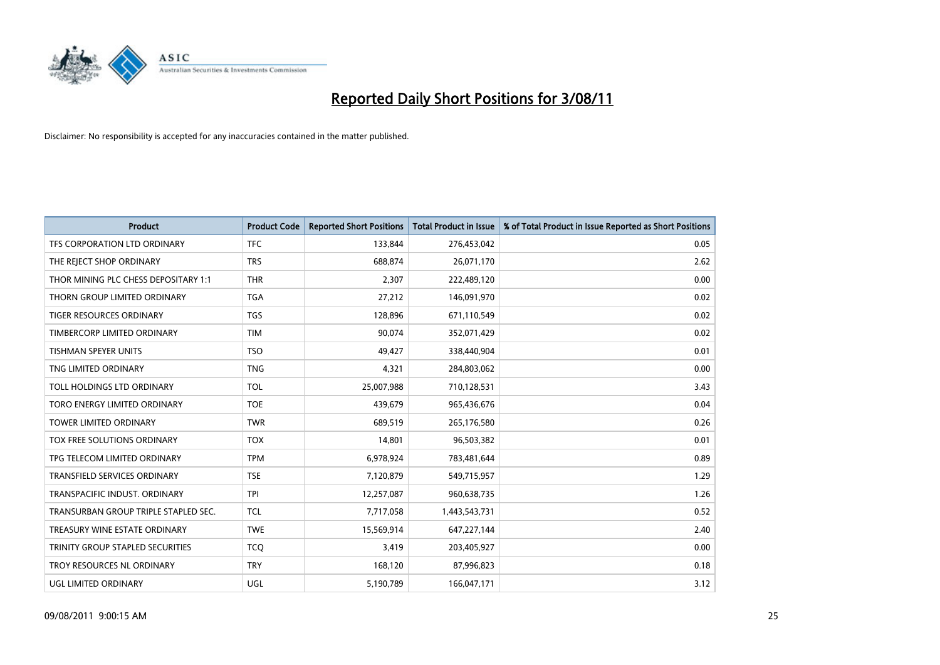

| <b>Product</b>                       | <b>Product Code</b> | <b>Reported Short Positions</b> | Total Product in Issue | % of Total Product in Issue Reported as Short Positions |
|--------------------------------------|---------------------|---------------------------------|------------------------|---------------------------------------------------------|
| TFS CORPORATION LTD ORDINARY         | <b>TFC</b>          | 133,844                         | 276,453,042            | 0.05                                                    |
| THE REJECT SHOP ORDINARY             | <b>TRS</b>          | 688,874                         | 26,071,170             | 2.62                                                    |
| THOR MINING PLC CHESS DEPOSITARY 1:1 | <b>THR</b>          | 2,307                           | 222,489,120            | 0.00                                                    |
| THORN GROUP LIMITED ORDINARY         | <b>TGA</b>          | 27,212                          | 146,091,970            | 0.02                                                    |
| <b>TIGER RESOURCES ORDINARY</b>      | <b>TGS</b>          | 128,896                         | 671,110,549            | 0.02                                                    |
| TIMBERCORP LIMITED ORDINARY          | <b>TIM</b>          | 90.074                          | 352,071,429            | 0.02                                                    |
| <b>TISHMAN SPEYER UNITS</b>          | <b>TSO</b>          | 49,427                          | 338,440,904            | 0.01                                                    |
| TNG LIMITED ORDINARY                 | <b>TNG</b>          | 4,321                           | 284,803,062            | 0.00                                                    |
| TOLL HOLDINGS LTD ORDINARY           | <b>TOL</b>          | 25,007,988                      | 710,128,531            | 3.43                                                    |
| TORO ENERGY LIMITED ORDINARY         | <b>TOE</b>          | 439,679                         | 965,436,676            | 0.04                                                    |
| TOWER LIMITED ORDINARY               | <b>TWR</b>          | 689,519                         | 265,176,580            | 0.26                                                    |
| <b>TOX FREE SOLUTIONS ORDINARY</b>   | <b>TOX</b>          | 14,801                          | 96,503,382             | 0.01                                                    |
| TPG TELECOM LIMITED ORDINARY         | <b>TPM</b>          | 6,978,924                       | 783,481,644            | 0.89                                                    |
| TRANSFIELD SERVICES ORDINARY         | <b>TSE</b>          | 7,120,879                       | 549,715,957            | 1.29                                                    |
| TRANSPACIFIC INDUST, ORDINARY        | <b>TPI</b>          | 12,257,087                      | 960,638,735            | 1.26                                                    |
| TRANSURBAN GROUP TRIPLE STAPLED SEC. | <b>TCL</b>          | 7,717,058                       | 1,443,543,731          | 0.52                                                    |
| TREASURY WINE ESTATE ORDINARY        | <b>TWE</b>          | 15,569,914                      | 647,227,144            | 2.40                                                    |
| TRINITY GROUP STAPLED SECURITIES     | <b>TCQ</b>          | 3,419                           | 203,405,927            | 0.00                                                    |
| TROY RESOURCES NL ORDINARY           | <b>TRY</b>          | 168,120                         | 87,996,823             | 0.18                                                    |
| <b>UGL LIMITED ORDINARY</b>          | UGL                 | 5,190,789                       | 166,047,171            | 3.12                                                    |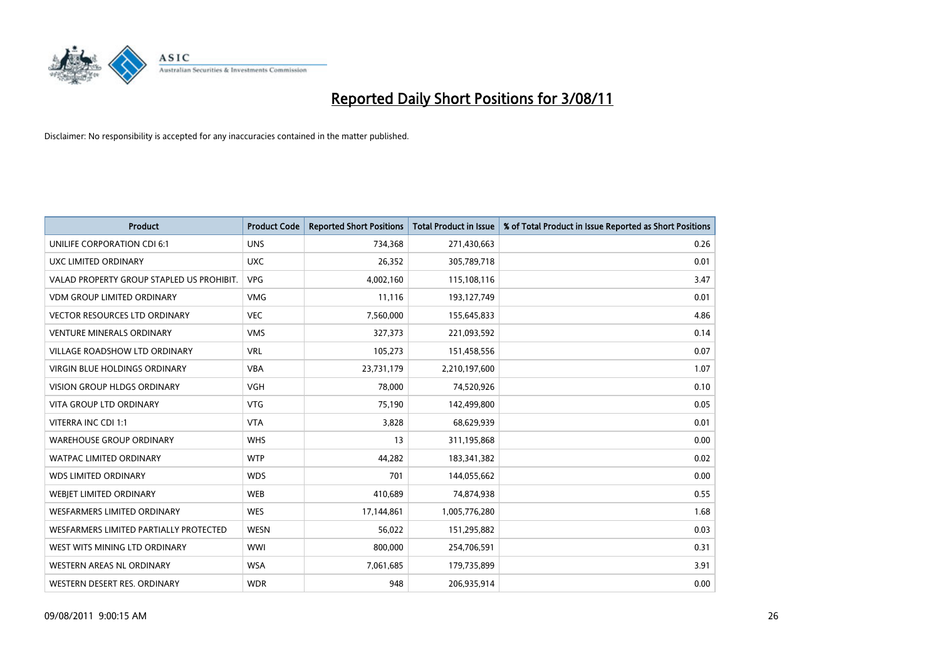

| <b>Product</b>                            | <b>Product Code</b> | <b>Reported Short Positions</b> | <b>Total Product in Issue</b> | % of Total Product in Issue Reported as Short Positions |
|-------------------------------------------|---------------------|---------------------------------|-------------------------------|---------------------------------------------------------|
| UNILIFE CORPORATION CDI 6:1               | <b>UNS</b>          | 734,368                         | 271,430,663                   | 0.26                                                    |
| UXC LIMITED ORDINARY                      | <b>UXC</b>          | 26,352                          | 305,789,718                   | 0.01                                                    |
| VALAD PROPERTY GROUP STAPLED US PROHIBIT. | <b>VPG</b>          | 4,002,160                       | 115,108,116                   | 3.47                                                    |
| <b>VDM GROUP LIMITED ORDINARY</b>         | <b>VMG</b>          | 11,116                          | 193,127,749                   | 0.01                                                    |
| <b>VECTOR RESOURCES LTD ORDINARY</b>      | <b>VEC</b>          | 7,560,000                       | 155,645,833                   | 4.86                                                    |
| <b>VENTURE MINERALS ORDINARY</b>          | <b>VMS</b>          | 327,373                         | 221,093,592                   | 0.14                                                    |
| VILLAGE ROADSHOW LTD ORDINARY             | <b>VRL</b>          | 105,273                         | 151,458,556                   | 0.07                                                    |
| VIRGIN BLUE HOLDINGS ORDINARY             | <b>VBA</b>          | 23,731,179                      | 2,210,197,600                 | 1.07                                                    |
| <b>VISION GROUP HLDGS ORDINARY</b>        | <b>VGH</b>          | 78,000                          | 74,520,926                    | 0.10                                                    |
| <b>VITA GROUP LTD ORDINARY</b>            | <b>VTG</b>          | 75,190                          | 142,499,800                   | 0.05                                                    |
| VITERRA INC CDI 1:1                       | <b>VTA</b>          | 3,828                           | 68,629,939                    | 0.01                                                    |
| <b>WAREHOUSE GROUP ORDINARY</b>           | <b>WHS</b>          | 13                              | 311,195,868                   | 0.00                                                    |
| <b>WATPAC LIMITED ORDINARY</b>            | <b>WTP</b>          | 44,282                          | 183,341,382                   | 0.02                                                    |
| <b>WDS LIMITED ORDINARY</b>               | <b>WDS</b>          | 701                             | 144,055,662                   | 0.00                                                    |
| WEBJET LIMITED ORDINARY                   | <b>WEB</b>          | 410,689                         | 74,874,938                    | 0.55                                                    |
| <b>WESFARMERS LIMITED ORDINARY</b>        | <b>WES</b>          | 17,144,861                      | 1,005,776,280                 | 1.68                                                    |
| WESFARMERS LIMITED PARTIALLY PROTECTED    | <b>WESN</b>         | 56,022                          | 151,295,882                   | 0.03                                                    |
| WEST WITS MINING LTD ORDINARY             | <b>WWI</b>          | 800,000                         | 254,706,591                   | 0.31                                                    |
| WESTERN AREAS NL ORDINARY                 | <b>WSA</b>          | 7,061,685                       | 179,735,899                   | 3.91                                                    |
| WESTERN DESERT RES. ORDINARY              | <b>WDR</b>          | 948                             | 206,935,914                   | 0.00                                                    |